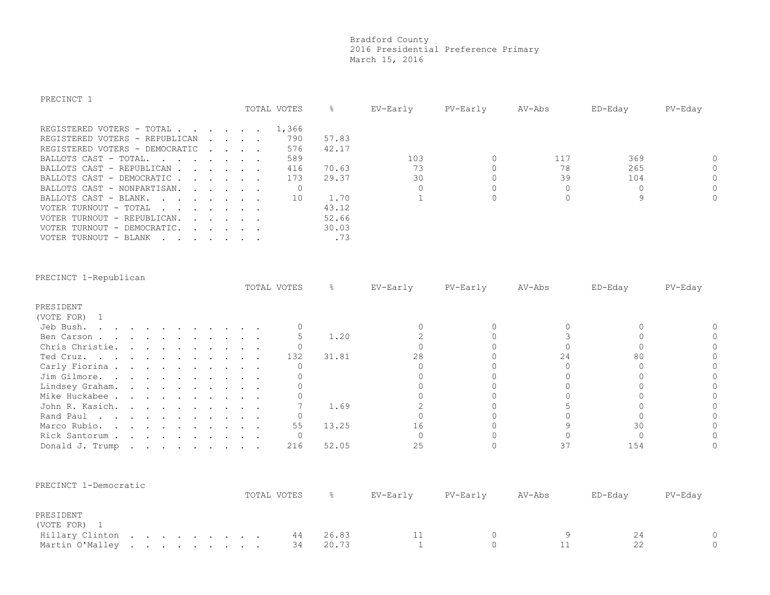## Bradford County 2016 Presidential Preference Primary March 15, 2016

| PRECINCT 1                                                                                                                                                                                                                                                    |  |                                                                               |             |       |          |            |          |         |          |
|---------------------------------------------------------------------------------------------------------------------------------------------------------------------------------------------------------------------------------------------------------------|--|-------------------------------------------------------------------------------|-------------|-------|----------|------------|----------|---------|----------|
|                                                                                                                                                                                                                                                               |  |                                                                               | TOTAL VOTES | g.    | EV-Early | $PV-Earth$ | AV-Abs   | ED-Eday | PV-Eday  |
|                                                                                                                                                                                                                                                               |  |                                                                               |             |       |          |            |          |         |          |
| REGISTERED VOTERS - TOTAL                                                                                                                                                                                                                                     |  |                                                                               | 1,366       |       |          |            |          |         |          |
| REGISTERED VOTERS - REPUBLICAN                                                                                                                                                                                                                                |  | $\mathbf{r}$ , $\mathbf{r}$ , $\mathbf{r}$                                    | 790         | 57.83 |          |            |          |         |          |
| REGISTERED VOTERS - DEMOCRATIC                                                                                                                                                                                                                                |  | $\mathbf{r}$ , $\mathbf{r}$ , $\mathbf{r}$                                    | 576         | 42.17 |          |            |          |         |          |
| BALLOTS CAST - TOTAL                                                                                                                                                                                                                                          |  |                                                                               | 589         |       | 103      | 0          | 117      | 369     | $\Omega$ |
| BALLOTS CAST - REPUBLICAN                                                                                                                                                                                                                                     |  |                                                                               | 416         | 70.63 | 73       |            | 78       | 265     | $\Omega$ |
| BALLOTS CAST - DEMOCRATIC                                                                                                                                                                                                                                     |  |                                                                               | 173         | 29.37 | 30       |            | 39       | 104     | $\Omega$ |
| BALLOTS CAST - NONPARTISAN.<br>and the contract of the contract of the contract of the contract of the contract of the contract of the contract of the contract of the contract of the contract of the contract of the contract of the contract of the contra |  |                                                                               |             |       | 0        | 0          | 0        | 0       | $\Omega$ |
| BALLOTS CAST - BLANK.<br>the contract of the contract of the contract of the contract of the contract of the contract of the contract of                                                                                                                      |  |                                                                               | 10          | 1.70  |          | $\Omega$   | $\Omega$ | 9       | $\Omega$ |
| VOTER TURNOUT - TOTAL                                                                                                                                                                                                                                         |  |                                                                               |             | 43.12 |          |            |          |         |          |
| VOTER TURNOUT - REPUBLICAN.                                                                                                                                                                                                                                   |  | $\mathbf{r} = \mathbf{r} + \mathbf{r} + \mathbf{r} + \mathbf{r} + \mathbf{r}$ |             | 52.66 |          |            |          |         |          |
| VOTER TURNOUT - DEMOCRATIC.<br>$\mathbf{r}$ , $\mathbf{r}$ , $\mathbf{r}$ , $\mathbf{r}$                                                                                                                                                                      |  |                                                                               |             | 30.03 |          |            |          |         |          |
| VOTER TURNOUT - BLANK<br>and the company of the company of the company of the company of the company of the company of the company of the                                                                                                                     |  |                                                                               |             | .73   |          |            |          |         |          |

| PRECINCT 1-Republican                                                                                                                                                                                                                                                                                                                                                                                                                     |  |  |  |  |  |             |       |          |          |        |         |         |
|-------------------------------------------------------------------------------------------------------------------------------------------------------------------------------------------------------------------------------------------------------------------------------------------------------------------------------------------------------------------------------------------------------------------------------------------|--|--|--|--|--|-------------|-------|----------|----------|--------|---------|---------|
|                                                                                                                                                                                                                                                                                                                                                                                                                                           |  |  |  |  |  | TOTAL VOTES | g.    | EV-Early | PV-Early | AV-Abs | ED-Eday | PV-Eday |
| PRESIDENT                                                                                                                                                                                                                                                                                                                                                                                                                                 |  |  |  |  |  |             |       |          |          |        |         |         |
| (VOTE FOR)                                                                                                                                                                                                                                                                                                                                                                                                                                |  |  |  |  |  |             |       |          |          |        |         |         |
| Jeb Bush.<br>$\mathbf{r} = \mathbf{r} + \mathbf{r} + \mathbf{r} + \mathbf{r} + \mathbf{r} + \mathbf{r} + \mathbf{r} + \mathbf{r} + \mathbf{r} + \mathbf{r} + \mathbf{r} + \mathbf{r} + \mathbf{r} + \mathbf{r} + \mathbf{r} + \mathbf{r} + \mathbf{r} + \mathbf{r} + \mathbf{r} + \mathbf{r} + \mathbf{r} + \mathbf{r} + \mathbf{r} + \mathbf{r} + \mathbf{r} + \mathbf{r} + \mathbf{r} + \mathbf{r} + \mathbf{r} + \mathbf{r} + \mathbf$ |  |  |  |  |  |             |       |          |          |        |         |         |
| Ben Carson                                                                                                                                                                                                                                                                                                                                                                                                                                |  |  |  |  |  |             | 1.20  |          |          |        |         |         |
| Chris Christie.                                                                                                                                                                                                                                                                                                                                                                                                                           |  |  |  |  |  |             |       |          |          |        |         |         |
| Ted Cruz.                                                                                                                                                                                                                                                                                                                                                                                                                                 |  |  |  |  |  | 132         | 31.81 | 28       |          | 24     | 80      |         |
| Carly Fiorina                                                                                                                                                                                                                                                                                                                                                                                                                             |  |  |  |  |  |             |       |          |          |        |         |         |
| Jim Gilmore.                                                                                                                                                                                                                                                                                                                                                                                                                              |  |  |  |  |  |             |       |          |          |        |         |         |
| Lindsey Graham.                                                                                                                                                                                                                                                                                                                                                                                                                           |  |  |  |  |  |             |       |          |          |        |         |         |
| Mike Huckabee                                                                                                                                                                                                                                                                                                                                                                                                                             |  |  |  |  |  |             |       |          |          |        |         |         |
| John R. Kasich.                                                                                                                                                                                                                                                                                                                                                                                                                           |  |  |  |  |  |             | 1.69  |          |          |        |         |         |
| Rand Paul                                                                                                                                                                                                                                                                                                                                                                                                                                 |  |  |  |  |  |             |       |          |          |        |         |         |
| Marco Rubio.                                                                                                                                                                                                                                                                                                                                                                                                                              |  |  |  |  |  | 55          | 13.25 | . რ      |          |        |         |         |
| Rick Santorum                                                                                                                                                                                                                                                                                                                                                                                                                             |  |  |  |  |  |             |       |          |          |        |         |         |
| Donald J. Trump                                                                                                                                                                                                                                                                                                                                                                                                                           |  |  |  |  |  | 216         | 52.05 |          |          |        | 154     |         |

| PRECINCT 1-Democratic |  |  |  |  |             |       |          |          |        |         |         |
|-----------------------|--|--|--|--|-------------|-------|----------|----------|--------|---------|---------|
|                       |  |  |  |  | TOTAL VOTES |       | EV-Earlv | PV-Early | AV-Abs | ED-Edav | PV-Eday |
| PRESIDENT             |  |  |  |  |             |       |          |          |        |         |         |
| (VOTE FOR) 1          |  |  |  |  |             |       |          |          |        |         |         |
| Hillary Clinton       |  |  |  |  | 44          | 26.83 |          |          |        |         |         |
| Martin O'Malley       |  |  |  |  | 34          | 20.73 |          |          |        |         |         |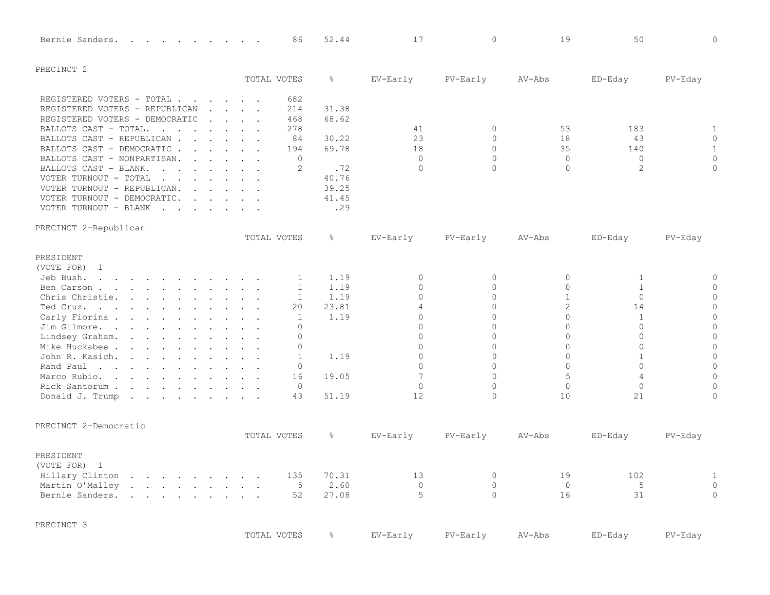| Bernie Sanders.                                                                                                                                                                                                                                                  |                                                           | 86           | 52.44         | 17             | $\mathbf{0}$   | 19             | 50           | $\mathbf 0$         |
|------------------------------------------------------------------------------------------------------------------------------------------------------------------------------------------------------------------------------------------------------------------|-----------------------------------------------------------|--------------|---------------|----------------|----------------|----------------|--------------|---------------------|
| PRECINCT <sub>2</sub>                                                                                                                                                                                                                                            |                                                           |              |               |                |                |                |              |                     |
|                                                                                                                                                                                                                                                                  |                                                           | TOTAL VOTES  | $\frac{6}{6}$ | EV-Early       | PV-Early       | $AV-Abs$       | ED-Eday      | PV-Eday             |
| REGISTERED VOTERS - TOTAL                                                                                                                                                                                                                                        |                                                           | 682          |               |                |                |                |              |                     |
| REGISTERED VOTERS - REPUBLICAN                                                                                                                                                                                                                                   | $\mathbf{r}$ , $\mathbf{r}$ , $\mathbf{r}$ , $\mathbf{r}$ | 214          | 31.38         |                |                |                |              |                     |
| REGISTERED VOTERS - DEMOCRATIC                                                                                                                                                                                                                                   | $\mathbf{r}$ , $\mathbf{r}$ , $\mathbf{r}$ , $\mathbf{r}$ | 468          | 68.62         |                |                |                |              |                     |
| BALLOTS CAST - TOTAL.<br>$\mathbf{r}$ , and $\mathbf{r}$ , and $\mathbf{r}$ , and $\mathbf{r}$                                                                                                                                                                   |                                                           | 278          |               | 41             | $\circ$        | 53             | 183          | 1                   |
| BALLOTS CAST - REPUBLICAN                                                                                                                                                                                                                                        |                                                           | 84           | 30.22         | 23             | $\Omega$       | 18             | 43           | $\mathsf{O}\xspace$ |
| BALLOTS CAST - DEMOCRATIC.                                                                                                                                                                                                                                       |                                                           | 194          | 69.78         | 18             | $\mathbf{0}$   | 35             | 140          | $\mathbf{1}$        |
| BALLOTS CAST - NONPARTISAN.<br>$\mathbf{r}$ and $\mathbf{r}$ and $\mathbf{r}$ and $\mathbf{r}$                                                                                                                                                                   |                                                           | $\Omega$     |               | $\Omega$       | $\Omega$       | $\Omega$       | $\Omega$     | $\mathbb O$         |
| BALLOTS CAST - BLANK.<br>$\mathbf{r}$ . The set of the set of the set of the set of the set of the set of the set of the set of the set of the set of the set of the set of the set of the set of the set of the set of the set of the set of the set of t       |                                                           | 2            | .72           | $\Omega$       | $\Omega$       | $\Omega$       | 2            | $\Omega$            |
| VOTER TURNOUT - TOTAL<br>and the contract of the contract of the contract of the contract of the contract of the contract of the contract of the contract of the contract of the contract of the contract of the contract of the contract of the contra          |                                                           |              | 40.76         |                |                |                |              |                     |
| VOTER TURNOUT - REPUBLICAN.<br>$\mathbf{r}$ , $\mathbf{r}$ , $\mathbf{r}$ , $\mathbf{r}$                                                                                                                                                                         |                                                           |              | 39.25         |                |                |                |              |                     |
| VOTER TURNOUT - DEMOCRATIC.<br>$\mathbf{r}$ . The set of the set of the set of the set of the set of the set of the set of the set of the set of the set of the set of the set of the set of the set of the set of the set of the set of the set of the set of t |                                                           |              | 41.45         |                |                |                |              |                     |
| VOTER TURNOUT - BLANK<br>$\mathbf{r}$ . The set of the set of the set of the set of the set of the set of the set of the set of the set of the set of the set of the set of the set of the set of the set of the set of the set of the set of the set of t       |                                                           |              | .29           |                |                |                |              |                     |
| PRECINCT 2-Republican                                                                                                                                                                                                                                            |                                                           |              |               |                |                |                |              |                     |
|                                                                                                                                                                                                                                                                  |                                                           | TOTAL VOTES  | $\frac{6}{6}$ | EV-Early       | PV-Early       | AV-Abs         | ED-Eday      | PV-Eday             |
| PRESIDENT                                                                                                                                                                                                                                                        |                                                           |              |               |                |                |                |              |                     |
| (VOTE FOR)<br>$\mathbf{1}$                                                                                                                                                                                                                                       |                                                           |              |               |                |                |                |              |                     |
| Jeb Bush.<br>$\mathbf{r}$ , and $\mathbf{r}$ , and $\mathbf{r}$ , and $\mathbf{r}$ , and $\mathbf{r}$                                                                                                                                                            |                                                           | 1            | 1.19          | $\circ$        | $\circ$        | $\circ$        | $\mathbf{1}$ | $\circ$             |
| Ben Carson                                                                                                                                                                                                                                                       |                                                           | $\mathbf{1}$ | 1.19          | $\Omega$       | $\Omega$       | $\Omega$       | $\mathbf{1}$ | $\circ$             |
| Chris Christie.                                                                                                                                                                                                                                                  |                                                           | $\mathbf{1}$ | 1.19          | $\Omega$       | $\Omega$       | $\mathbf{1}$   | $\Omega$     | $\mathbf 0$         |
| Ted Cruz.                                                                                                                                                                                                                                                        |                                                           | 20           | 23.81         | $\overline{4}$ | $\Omega$       | $\overline{2}$ | 14           | $\overline{0}$      |
| Carly Fiorina                                                                                                                                                                                                                                                    |                                                           | 1            | 1.19          | $\Omega$       | $\Omega$       | $\Omega$       | $\mathbf{1}$ | $\overline{0}$      |
| Jim Gilmore.<br>and the contract of the contract of the contract of the contract of the contract of the contract of the contract of the contract of the contract of the contract of the contract of the contract of the contract of the contra                   |                                                           | $\Omega$     |               | $\Omega$       | $\Omega$       | $\Omega$       | $\Omega$     | $\Omega$            |
| Lindsey Graham.<br>$\mathbf{r}$ , $\mathbf{r}$ , $\mathbf{r}$ , $\mathbf{r}$ , $\mathbf{r}$ , $\mathbf{r}$ , $\mathbf{r}$                                                                                                                                        |                                                           | $\Omega$     |               | $\Omega$       | $\Omega$       | $\Omega$       | $\Omega$     | $\overline{0}$      |
| Mike Huckabee .<br>the contract of the contract of the contract of the contract of the contract of the contract of the contract of                                                                                                                               |                                                           | $\Omega$     |               | $\Omega$       | $\Omega$       | $\Omega$       | $\Omega$     | $\overline{0}$      |
| John R. Kasich.<br>$\mathbf{r}$ , and $\mathbf{r}$ , and $\mathbf{r}$ , and $\mathbf{r}$                                                                                                                                                                         |                                                           | $\mathbf{1}$ | 1.19          | $\overline{0}$ | $\overline{0}$ | $\overline{0}$ | $\mathbf{1}$ | $\circ$             |
| Rand Paul                                                                                                                                                                                                                                                        |                                                           | $\mathbf{0}$ |               | $\overline{0}$ | $\overline{0}$ | $\Omega$       | $\Omega$     | $\mathsf{O}$        |
| Marco Rubio.<br><u>na kama sa sa sa sa sa sa sa sa</u>                                                                                                                                                                                                           |                                                           | 16           | 19.05         | $\overline{7}$ | $\Omega$       | 5              | 4            | $\overline{0}$      |
| Rick Santorum                                                                                                                                                                                                                                                    |                                                           | $\mathbf{0}$ |               | $\Omega$       | 0              | $\circ$        | $\mathbf{0}$ | $\mathbf 0$         |
| Donald J. Trump<br>the contract of the contract of the contract of the contract of the contract of the contract of the contract of                                                                                                                               |                                                           | 43           | 51.19         | 12             | 0              | 10             | 21           | $\mathbf 0$         |
| PRECINCT 2-Democratic                                                                                                                                                                                                                                            |                                                           |              |               |                |                |                |              |                     |
|                                                                                                                                                                                                                                                                  |                                                           | TOTAL VOTES  | $\frac{6}{6}$ | EV-Early       | PV-Early       | AV-Abs         | ED-Eday      | PV-Eday             |
| PRESIDENT                                                                                                                                                                                                                                                        |                                                           |              |               |                |                |                |              |                     |
| (VOTE FOR)<br>$\overline{1}$                                                                                                                                                                                                                                     |                                                           |              |               |                |                |                |              |                     |
| $\mathcal{A}$ . The set of the set of the set of the set of $\mathcal{A}$<br>Hillary Clinton                                                                                                                                                                     |                                                           | 135          | 70.31         | 13             | $\mathbf{0}$   | 19             | 102          | 1                   |
| Martin O'Malley<br>$\mathbf{r}$ . The contract of the contract of the contract of the contract of the contract of the contract of the contract of the contract of the contract of the contract of the contract of the contract of the contract of th             |                                                           | 5            | 2.60          | $\mathbf 0$    | $\circ$        | $\circ$        | 5            | $\mathsf{O}$        |
| Bernie Sanders.<br>the contract of the contract of the contract of the contract of the contract of the contract of the contract of                                                                                                                               |                                                           | 52           | 27.08         | 5              | $\Omega$       | 16             | 31           | $\Omega$            |
| PRECINCT 3                                                                                                                                                                                                                                                       |                                                           |              |               |                |                |                |              |                     |
|                                                                                                                                                                                                                                                                  |                                                           | TOTAL VOTES  | $\frac{6}{6}$ | EV-Early       | PV-Early       | $AV-Abs$       | ED-Eday      | PV-Eday             |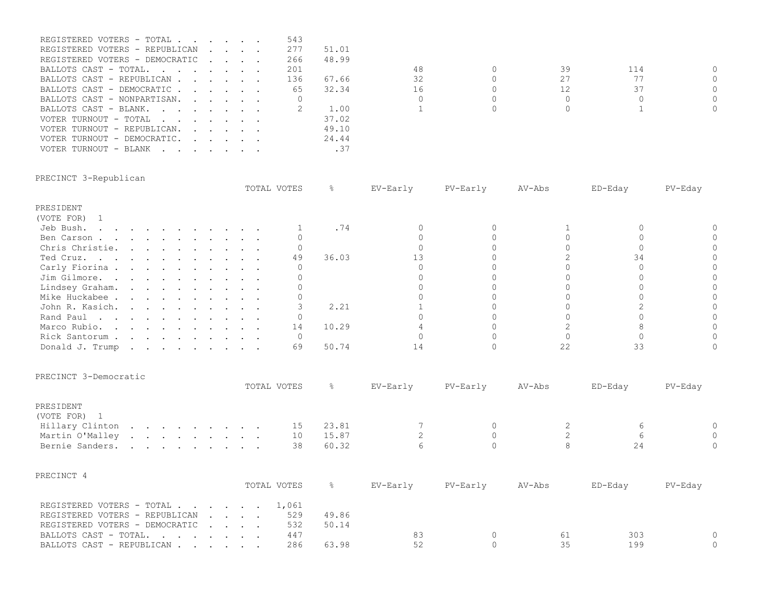| REGISTERED VOTERS - TOTAL                                                                                      |  |                                                                                                                                                                                                                                   | 543 |       |    |    |     |          |
|----------------------------------------------------------------------------------------------------------------|--|-----------------------------------------------------------------------------------------------------------------------------------------------------------------------------------------------------------------------------------|-----|-------|----|----|-----|----------|
| REGISTERED VOTERS - REPUBLICAN                                                                                 |  |                                                                                                                                                                                                                                   | 277 | 51.01 |    |    |     |          |
| REGISTERED VOTERS - DEMOCRATIC                                                                                 |  |                                                                                                                                                                                                                                   | 266 | 48.99 |    |    |     |          |
| BALLOTS CAST - TOTAL, in the state of the state of the state of the state of the state of the state of the sta |  |                                                                                                                                                                                                                                   | 201 |       | 48 | 39 | 114 | $\Omega$ |
| BALLOTS CAST - REPUBLICAN                                                                                      |  |                                                                                                                                                                                                                                   | 136 | 67.66 | 32 |    |     | $\Omega$ |
| BALLOTS CAST - DEMOCRATIC                                                                                      |  |                                                                                                                                                                                                                                   | 65  | 32.34 | 16 |    | 37  | $\Omega$ |
| BALLOTS CAST - NONPARTISAN.                                                                                    |  |                                                                                                                                                                                                                                   |     |       |    |    |     | 0        |
| BALLOTS CAST - BLANK.                                                                                          |  |                                                                                                                                                                                                                                   |     | 1.00  |    |    |     | $\Omega$ |
| VOTER TURNOUT - TOTAL                                                                                          |  |                                                                                                                                                                                                                                   |     | 37.02 |    |    |     |          |
| VOTER TURNOUT - REPUBLICAN.                                                                                    |  |                                                                                                                                                                                                                                   |     | 49.10 |    |    |     |          |
| VOTER TURNOUT - DEMOCRATIC.                                                                                    |  | $\mathbf{r}$ . The contract of the contract of the contract of the contract of the contract of the contract of the contract of the contract of the contract of the contract of the contract of the contract of the contract of th |     | 24.44 |    |    |     |          |
| VOTER TURNOUT - BLANK                                                                                          |  |                                                                                                                                                                                                                                   |     | .37   |    |    |     |          |

# PRECINCT 3-Republican

|                                                                                                                                               |  |  |  |  | TOTAL VOTES |       | EV-Early | PV-Early | AV-Abs | ED-Eday | PV-Eday |
|-----------------------------------------------------------------------------------------------------------------------------------------------|--|--|--|--|-------------|-------|----------|----------|--------|---------|---------|
| PRESIDENT                                                                                                                                     |  |  |  |  |             |       |          |          |        |         |         |
| (VOTE FOR)                                                                                                                                    |  |  |  |  |             |       |          |          |        |         |         |
| Jeb Bush.<br>$\mathbf{r} = \mathbf{r} - \mathbf{r}$ , and $\mathbf{r} = \mathbf{r} - \mathbf{r}$ , and $\mathbf{r} = \mathbf{r} - \mathbf{r}$ |  |  |  |  |             | . 74  |          |          |        |         |         |
| Ben Carson                                                                                                                                    |  |  |  |  |             |       |          |          |        |         |         |
| Chris Christie.                                                                                                                               |  |  |  |  |             |       |          |          |        |         |         |
| Ted Cruz.                                                                                                                                     |  |  |  |  | 49          | 36.03 |          |          |        |         |         |
| Carly Fiorina                                                                                                                                 |  |  |  |  |             |       |          |          |        |         |         |
| Jim Gilmore.                                                                                                                                  |  |  |  |  |             |       |          |          |        |         |         |
| Lindsey Graham.                                                                                                                               |  |  |  |  |             |       |          |          |        |         |         |
| Mike Huckabee                                                                                                                                 |  |  |  |  |             |       |          |          |        |         |         |
| John R. Kasich.                                                                                                                               |  |  |  |  |             | 2.21  |          |          |        |         |         |
| Rand Paul                                                                                                                                     |  |  |  |  |             |       |          |          |        |         |         |
| Marco Rubio.                                                                                                                                  |  |  |  |  | 14          | 10.29 |          |          |        |         |         |
| Rick Santorum                                                                                                                                 |  |  |  |  |             |       |          |          |        |         |         |
| Donald J. Trump                                                                                                                               |  |  |  |  | 69          | 50.74 |          |          |        |         |         |

#### PRECINCT 3-Democratic

|                         |  |  |  |  | TOTAL VOTES |       | EV-Early | PV-Early | AV-Abs | ED-Eday | $PV$ –Eday |
|-------------------------|--|--|--|--|-------------|-------|----------|----------|--------|---------|------------|
| PRESIDENT<br>(VOTE FOR) |  |  |  |  |             |       |          |          |        |         |            |
| Hillary Clinton         |  |  |  |  | 15.         | 23.81 |          |          |        |         |            |
| Martin O'Malley         |  |  |  |  | 10          | 15.87 |          |          |        |         |            |
| Bernie Sanders.         |  |  |  |  | 38          | 60.32 |          |          |        |         |            |

| PRECINCT 4                      |             |       |          |          |        |         |         |
|---------------------------------|-------------|-------|----------|----------|--------|---------|---------|
|                                 | TOTAL VOTES |       | EV-Early | PV-Early | AV-Abs | ED-Edav | PV-Edav |
| REGISTERED VOTERS - TOTAL 1,061 |             |       |          |          |        |         |         |
| REGISTERED VOTERS - REPUBLICAN  | 529         | 49.86 |          |          |        |         |         |
| REGISTERED VOTERS - DEMOCRATIC  | 532         | 50.14 |          |          |        |         |         |
| BALLOTS CAST - TOTAL            | 447         |       | 83       |          | 61     | 303     |         |
| BALLOTS CAST - REPUBLICAN       | 286         | 63.98 | 52       |          | 35     | 199     |         |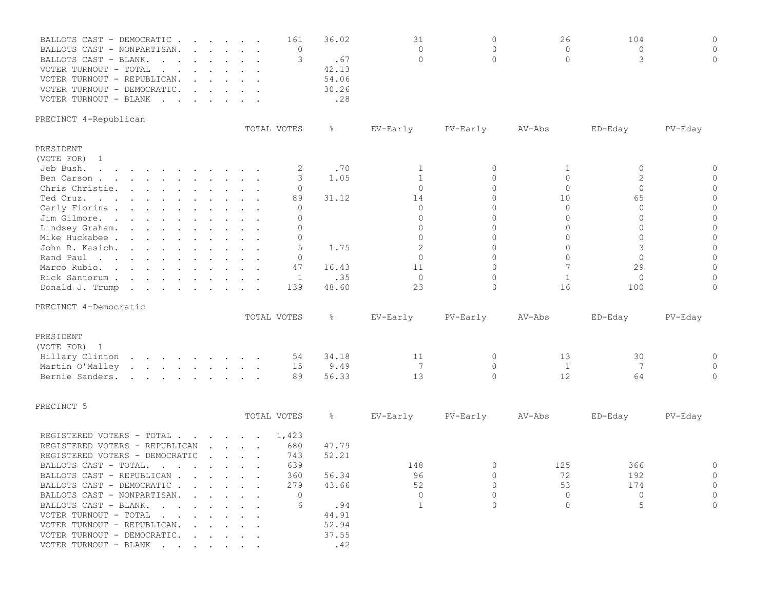| BALLOTS CAST - DEMOCRATIC<br>BALLOTS CAST - NONPARTISAN.<br>BALLOTS CAST - BLANK.<br>$\mathbf{r}$ , and $\mathbf{r}$ , and $\mathbf{r}$ , and $\mathbf{r}$<br>VOTER TURNOUT - TOTAL<br>the contract of the contract of the contract of the contract of the contract of the contract of the contract of<br>VOTER TURNOUT - REPUBLICAN.<br>$\mathbf{r}$ , $\mathbf{r}$ , $\mathbf{r}$ , $\mathbf{r}$ , $\mathbf{r}$<br>VOTER TURNOUT - DEMOCRATIC.<br>$\mathbf{r}$ , $\mathbf{r}$ , $\mathbf{r}$ , $\mathbf{r}$ , $\mathbf{r}$<br>VOTER TURNOUT - BLANK | $\cdot$ $\cdot$ $\cdot$ $\cdot$ $\cdot$ $\cdot$                                                                        | 161<br>$\mathbf{0}$<br>3                                                                      | 36.02<br>.67<br>42.13<br>54.06<br>30.26<br>.28                            | 31<br>$\Omega$<br>$\Omega$                                                                                                                             | $\mathbf 0$<br>$\Omega$<br>$\Omega$                                                                                                                         | 26<br>$\Omega$<br>$\Omega$                                                                                            | 104<br>$\circ$<br>3                                                                                                    | $\Omega$<br>$\Omega$<br>$\Omega$                                                                                     |
|-------------------------------------------------------------------------------------------------------------------------------------------------------------------------------------------------------------------------------------------------------------------------------------------------------------------------------------------------------------------------------------------------------------------------------------------------------------------------------------------------------------------------------------------------------|------------------------------------------------------------------------------------------------------------------------|-----------------------------------------------------------------------------------------------|---------------------------------------------------------------------------|--------------------------------------------------------------------------------------------------------------------------------------------------------|-------------------------------------------------------------------------------------------------------------------------------------------------------------|-----------------------------------------------------------------------------------------------------------------------|------------------------------------------------------------------------------------------------------------------------|----------------------------------------------------------------------------------------------------------------------|
| PRECINCT 4-Republican                                                                                                                                                                                                                                                                                                                                                                                                                                                                                                                                 |                                                                                                                        | TOTAL VOTES                                                                                   | ိဝ                                                                        | EV-Early                                                                                                                                               | PV-Early                                                                                                                                                    | AV-Abs                                                                                                                | ED-Eday                                                                                                                | PV-Eday                                                                                                              |
|                                                                                                                                                                                                                                                                                                                                                                                                                                                                                                                                                       |                                                                                                                        |                                                                                               |                                                                           |                                                                                                                                                        |                                                                                                                                                             |                                                                                                                       |                                                                                                                        |                                                                                                                      |
| PRESIDENT<br>(VOTE FOR)<br>$\overline{1}$<br>Jeb Bush.<br>Ben Carson<br>Chris Christie.<br>Ted Cruz.<br>Carly Fiorina<br>Jim Gilmore.<br>Lindsey Graham.<br>Mike Huckabee<br>John R. Kasich.<br>Rand Paul<br>Marco Rubio.<br>Rick Santorum<br>Donald J. Trump                                                                                                                                                                                                                                                                                         |                                                                                                                        | 2<br>3<br>$\Omega$<br>89<br>$\Omega$<br>$\Omega$<br>0<br>$\Omega$<br>5<br>0<br>47<br>1<br>139 | .70<br>1.05<br>31.12<br>1.75<br>16.43<br>.35<br>48.60                     | $\mathbf{1}$<br>$\mathbf{1}$<br>$\Omega$<br>14<br>$\circ$<br>$\Omega$<br>$\circ$<br>$\Omega$<br>$\overline{2}$<br>$\Omega$<br>11<br>$\mathbf{0}$<br>23 | $\mathbf 0$<br>$\Omega$<br>$\Omega$<br>$\Omega$<br>$\Omega$<br>$\Omega$<br>$\Omega$<br>$\Omega$<br>$\Omega$<br>$\Omega$<br>$\Omega$<br>$\Omega$<br>$\Omega$ | 1<br>$\circ$<br>$\Omega$<br>10<br>$\Omega$<br>$\Omega$<br>$\circ$<br>$\Omega$<br>$\Omega$<br>$\Omega$<br>7<br>1<br>16 | $\circ$<br>2<br>$\Omega$<br>65<br>$\Omega$<br>$\Omega$<br>$\circ$<br>$\Omega$<br>3<br>$\Omega$<br>29<br>$\circ$<br>100 | $\Omega$<br>$\Omega$<br>$\Omega$<br>$\Omega$<br>$\Omega$<br>$\Omega$<br>$\Omega$<br>$\Omega$<br>$\Omega$<br>$\Omega$ |
| PRECINCT 4-Democratic                                                                                                                                                                                                                                                                                                                                                                                                                                                                                                                                 |                                                                                                                        |                                                                                               |                                                                           |                                                                                                                                                        |                                                                                                                                                             |                                                                                                                       |                                                                                                                        |                                                                                                                      |
|                                                                                                                                                                                                                                                                                                                                                                                                                                                                                                                                                       |                                                                                                                        | TOTAL VOTES                                                                                   | $\frac{5}{6}$                                                             | EV-Early                                                                                                                                               | PV-Early                                                                                                                                                    | AV-Abs                                                                                                                | ED-Eday                                                                                                                | $PV$ –Eday                                                                                                           |
| PRESIDENT<br>(VOTE FOR) 1<br>Hillary Clinton<br>Martin O'Malley<br>Bernie Sanders.                                                                                                                                                                                                                                                                                                                                                                                                                                                                    |                                                                                                                        | 54<br>15<br>89                                                                                | 34.18<br>9.49<br>56.33                                                    | 11<br>7<br>13                                                                                                                                          | $\circ$<br>$\mathbf{0}$<br>$\Omega$                                                                                                                         | 13<br>1<br>12                                                                                                         | 30<br>7<br>64                                                                                                          | $\circ$<br>$\Omega$<br>$\Omega$                                                                                      |
| PRECINCT 5                                                                                                                                                                                                                                                                                                                                                                                                                                                                                                                                            |                                                                                                                        | TOTAL VOTES                                                                                   | $\frac{5}{6}$                                                             | EV-Early                                                                                                                                               | PV-Early                                                                                                                                                    | AV-Abs                                                                                                                | ED-Eday                                                                                                                | $PV-Eday$                                                                                                            |
| REGISTERED VOTERS - TOTAL<br>REGISTERED VOTERS - REPUBLICAN<br>REGISTERED VOTERS - DEMOCRATIC<br>BALLOTS CAST - TOTAL.<br>BALLOTS CAST - REPUBLICAN<br>BALLOTS CAST - DEMOCRATIC<br>BALLOTS CAST - NONPARTISAN.<br>BALLOTS CAST - BLANK.<br>VOTER TURNOUT - TOTAL<br>VOTER TURNOUT - REPUBLICAN.<br>VOTER TURNOUT - DEMOCRATIC.<br>VOTER TURNOUT - BLANK                                                                                                                                                                                              | $\mathbf{r}$ , $\mathbf{r}$ , $\mathbf{r}$ , $\mathbf{r}$<br>$\mathbf{r}$ , $\mathbf{r}$ , $\mathbf{r}$ , $\mathbf{r}$ | 1,423<br>680<br>743<br>639<br>360<br>279<br>$\circ$<br>6                                      | 47.79<br>52.21<br>56.34<br>43.66<br>.94<br>44.91<br>52.94<br>37.55<br>.42 | 148<br>96<br>52<br>$\circ$<br>$\overline{1}$                                                                                                           | $\overline{0}$<br>$\Omega$<br>$\Omega$<br>$\mathbf{0}$<br>$\Omega$                                                                                          | 125<br>72<br>53<br>$\circ$<br>$\Omega$                                                                                | 366<br>192<br>174<br>0<br>5                                                                                            | $\Omega$<br>$\Omega$<br>$\Omega$<br>$\Omega$                                                                         |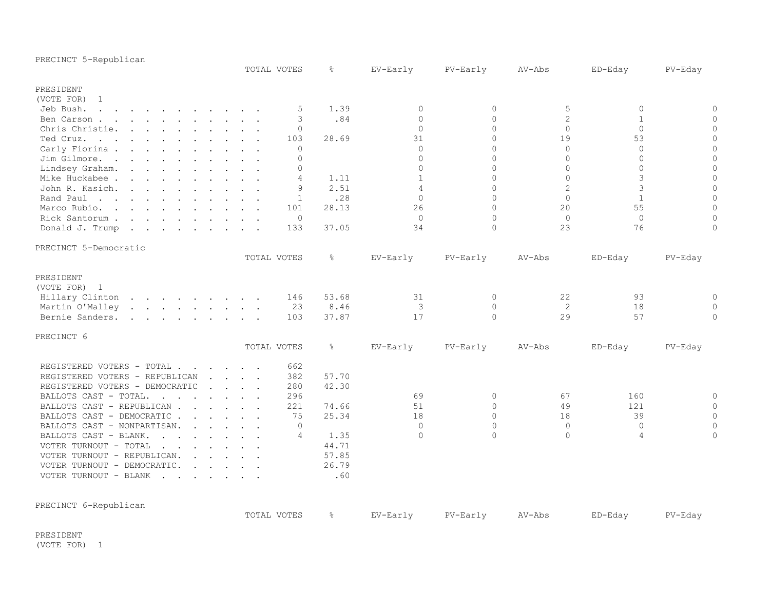| PRECINCT 5-Republican                                                                                                                                                                                                                                                                                                                                                                                                                                                   |                                                                 |          |               |                |              |                |                |                |
|-------------------------------------------------------------------------------------------------------------------------------------------------------------------------------------------------------------------------------------------------------------------------------------------------------------------------------------------------------------------------------------------------------------------------------------------------------------------------|-----------------------------------------------------------------|----------|---------------|----------------|--------------|----------------|----------------|----------------|
|                                                                                                                                                                                                                                                                                                                                                                                                                                                                         | TOTAL VOTES                                                     |          | $\frac{6}{6}$ | EV-Early       | PV-Early     | AV-Abs         | ED-Eday        | PV-Eday        |
| PRESIDENT                                                                                                                                                                                                                                                                                                                                                                                                                                                               |                                                                 |          |               |                |              |                |                |                |
| (VOTE FOR) 1                                                                                                                                                                                                                                                                                                                                                                                                                                                            |                                                                 |          |               |                |              |                |                |                |
| Jeb Bush.<br>$\mathbf{1} \qquad \mathbf{1} \qquad \mathbf{1} \qquad \mathbf{1} \qquad \mathbf{1} \qquad \mathbf{1} \qquad \mathbf{1} \qquad \mathbf{1} \qquad \mathbf{1} \qquad \mathbf{1} \qquad \mathbf{1} \qquad \mathbf{1} \qquad \mathbf{1} \qquad \mathbf{1} \qquad \mathbf{1} \qquad \mathbf{1} \qquad \mathbf{1} \qquad \mathbf{1} \qquad \mathbf{1} \qquad \mathbf{1} \qquad \mathbf{1} \qquad \mathbf{1} \qquad \mathbf{1} \qquad \mathbf{1} \qquad \mathbf{$ | $\sim$ $\sim$                                                   | 5        | 1.39          | $\circ$        | 0            | 5              | $\mathbf 0$    | $\circ$        |
| Ben Carson                                                                                                                                                                                                                                                                                                                                                                                                                                                              |                                                                 | 3        | .84           | $\mathbf{0}$   | $\mathbf{0}$ | $\overline{c}$ | $\mathbf{1}$   | $\mathbf{0}$   |
| Chris Christie.<br>$\mathbf{r}$ , $\mathbf{r}$ , $\mathbf{r}$ , $\mathbf{r}$ , $\mathbf{r}$ , $\mathbf{r}$ , $\mathbf{r}$                                                                                                                                                                                                                                                                                                                                               |                                                                 | $\Omega$ |               | $\Omega$       | $\Omega$     | $\Omega$       | $\Omega$       | $\circ$        |
| Ted Cruz.<br><u>na kama sa sana sa sa sa sa sa sa</u>                                                                                                                                                                                                                                                                                                                                                                                                                   |                                                                 | 103      | 28.69         | 31             | $\Omega$     | 19             | 53             | $\overline{0}$ |
| Carly Fiorina.<br>the contract of the contract of the contract of the contract of the contract of the contract of the contract of                                                                                                                                                                                                                                                                                                                                       |                                                                 | $\circ$  |               | $\mathbf{0}$   | $\Omega$     | $\Omega$       | $\mathbf{0}$   | $\overline{0}$ |
| Jim Gilmore.                                                                                                                                                                                                                                                                                                                                                                                                                                                            |                                                                 | $\Omega$ |               | $\Omega$       | $\Omega$     | $\Omega$       | $\bigcap$      | $\overline{0}$ |
| Lindsey Graham.<br>the contract of the contract of the contract of the contract of the contract of                                                                                                                                                                                                                                                                                                                                                                      |                                                                 | $\Omega$ |               | $\Omega$       | $\Omega$     | $\Omega$       | $\Omega$       | $\mathbf 0$    |
| Mike Huckabee                                                                                                                                                                                                                                                                                                                                                                                                                                                           |                                                                 | 4        | 1.11          | $\mathbf{1}$   | $\Omega$     | $\Omega$       | 3              | $\mathbf{0}$   |
| John R. Kasich.                                                                                                                                                                                                                                                                                                                                                                                                                                                         |                                                                 | 9        | 2.51          | $\overline{4}$ | $\Omega$     | $\overline{c}$ | 3              | $\mathbb O$    |
| Rand Paul                                                                                                                                                                                                                                                                                                                                                                                                                                                               |                                                                 | 1        | .28           | $\Omega$       | $\Omega$     | $\Omega$       | $\mathbf{1}$   | $\Omega$       |
| Marco Rubio.                                                                                                                                                                                                                                                                                                                                                                                                                                                            |                                                                 | 101      | 28.13         | 26             | $\Omega$     | 20             | 55             | $\mathbf{0}$   |
| Rick Santorum                                                                                                                                                                                                                                                                                                                                                                                                                                                           |                                                                 | $\circ$  |               | $\circ$        | $\Omega$     | $\circ$        | $\mathbf{0}$   | $\overline{0}$ |
| Donald J. Trump<br>$\mathbf{r}$ . The set of the set of the set of the set of the set of the set of the set of the set of the set of the set of the set of the set of the set of the set of the set of the set of the set of the set of the set of t                                                                                                                                                                                                                    |                                                                 | 133      | 37.05         | 34             | $\Omega$     | 23             | 76             | $\circ$        |
| PRECINCT 5-Democratic                                                                                                                                                                                                                                                                                                                                                                                                                                                   |                                                                 |          |               |                |              |                |                |                |
|                                                                                                                                                                                                                                                                                                                                                                                                                                                                         | TOTAL VOTES                                                     |          | $\frac{6}{6}$ | EV-Early       | PV-Early     | AV-Abs         | ED-Eday        | PV-Eday        |
| PRESIDENT                                                                                                                                                                                                                                                                                                                                                                                                                                                               |                                                                 |          |               |                |              |                |                |                |
| (VOTE FOR) 1                                                                                                                                                                                                                                                                                                                                                                                                                                                            |                                                                 |          |               |                |              |                |                |                |
| Hillary Clinton                                                                                                                                                                                                                                                                                                                                                                                                                                                         |                                                                 | 146      | 53.68         | 31             | $\circ$      | 22             | 93             | $\circ$        |
| Martin O'Malley                                                                                                                                                                                                                                                                                                                                                                                                                                                         |                                                                 | 23       | 8.46          | 3              | $\circ$      | 2              | 18             | $\circ$        |
| Bernie Sanders.<br>$\mathbf{r}$ , $\mathbf{r}$ , $\mathbf{r}$ , $\mathbf{r}$ , $\mathbf{r}$ , $\mathbf{r}$ , $\mathbf{r}$                                                                                                                                                                                                                                                                                                                                               |                                                                 | 103      | 37.87         | 17             | $\circ$      | 29             | 57             | $\mathbf{0}$   |
| PRECINCT 6                                                                                                                                                                                                                                                                                                                                                                                                                                                              |                                                                 |          |               |                |              |                |                |                |
|                                                                                                                                                                                                                                                                                                                                                                                                                                                                         | TOTAL VOTES                                                     |          | $\frac{6}{6}$ | EV-Early       | PV-Early     | AV-Abs         | ED-Eday        | PV-Eday        |
| REGISTERED VOTERS - TOTAL                                                                                                                                                                                                                                                                                                                                                                                                                                               |                                                                 | 662      |               |                |              |                |                |                |
| REGISTERED VOTERS - REPUBLICAN                                                                                                                                                                                                                                                                                                                                                                                                                                          | $\mathbf{r}$ , $\mathbf{r}$ , $\mathbf{r}$ , $\mathbf{r}$       | 382      | 57.70         |                |              |                |                |                |
| REGISTERED VOTERS - DEMOCRATIC                                                                                                                                                                                                                                                                                                                                                                                                                                          | $\mathbf{1}$ and $\mathbf{1}$ and $\mathbf{1}$ and $\mathbf{1}$ | 280      | 42.30         |                |              |                |                |                |
| BALLOTS CAST - TOTAL.<br>$\sim$ $\sim$<br>$\mathbf{r}$ . The contract of the contract of $\mathbf{r}$                                                                                                                                                                                                                                                                                                                                                                   |                                                                 | 296      |               | 69             | $\Omega$     | 67             | 160            | $\circ$        |
| BALLOTS CAST - REPUBLICAN                                                                                                                                                                                                                                                                                                                                                                                                                                               |                                                                 | 221      | 74.66         | 51             | $\Omega$     | 49             | 121            | $\overline{0}$ |
| BALLOTS CAST - DEMOCRATIC.<br>$\cdot$ $\cdot$ $\cdot$ $\cdot$ $\cdot$ $\cdot$                                                                                                                                                                                                                                                                                                                                                                                           |                                                                 | 75       | 25.34         | 18             | $\Omega$     | 18             | 39             | $\mathbf 0$    |
| BALLOTS CAST - NONPARTISAN.<br>$\mathbf{r}$ , $\mathbf{r}$ , $\mathbf{r}$ , $\mathbf{r}$                                                                                                                                                                                                                                                                                                                                                                                |                                                                 | $\Omega$ |               | $\Omega$       | $\Omega$     | $\Omega$       | $\Omega$       | $\overline{0}$ |
| BALLOTS CAST - BLANK.<br>$\mathbf{r}$ . The set of the set of the set of the set of the set of the set of the set of the set of the set of the set of the set of the set of the set of the set of the set of the set of the set of the set of the set of t                                                                                                                                                                                                              |                                                                 | 4        | 1.35          | $\Omega$       | $\Omega$     | $\Omega$       | $\overline{4}$ | $\Omega$       |
| VOTER TURNOUT - TOTAL<br>$\mathbf{r}$ . The contract of the contract of the contract of the contract of the contract of the contract of the contract of the contract of the contract of the contract of the contract of the contract of the contract of th                                                                                                                                                                                                              |                                                                 |          | 44.71         |                |              |                |                |                |
| VOTER TURNOUT - REPUBLICAN.<br>$\mathbf{r}$ , $\mathbf{r}$ , $\mathbf{r}$ , $\mathbf{r}$ , $\mathbf{r}$                                                                                                                                                                                                                                                                                                                                                                 |                                                                 |          | 57.85         |                |              |                |                |                |
| VOTER TURNOUT - DEMOCRATIC.<br>$\mathbf{r}$ , $\mathbf{r}$ , $\mathbf{r}$ , $\mathbf{r}$                                                                                                                                                                                                                                                                                                                                                                                |                                                                 |          | 26.79         |                |              |                |                |                |
| VOTER TURNOUT - BLANK                                                                                                                                                                                                                                                                                                                                                                                                                                                   |                                                                 |          | .60           |                |              |                |                |                |
| PRECINCT 6-Republican                                                                                                                                                                                                                                                                                                                                                                                                                                                   |                                                                 |          |               |                |              |                |                |                |
|                                                                                                                                                                                                                                                                                                                                                                                                                                                                         | TOTAL VOTES                                                     |          | ိင            | EV-Early       | PV-Early     | AV-Abs         | ED-Eday        | PV-Eday        |
| PRESIDENT                                                                                                                                                                                                                                                                                                                                                                                                                                                               |                                                                 |          |               |                |              |                |                |                |

(VOTE FOR) 1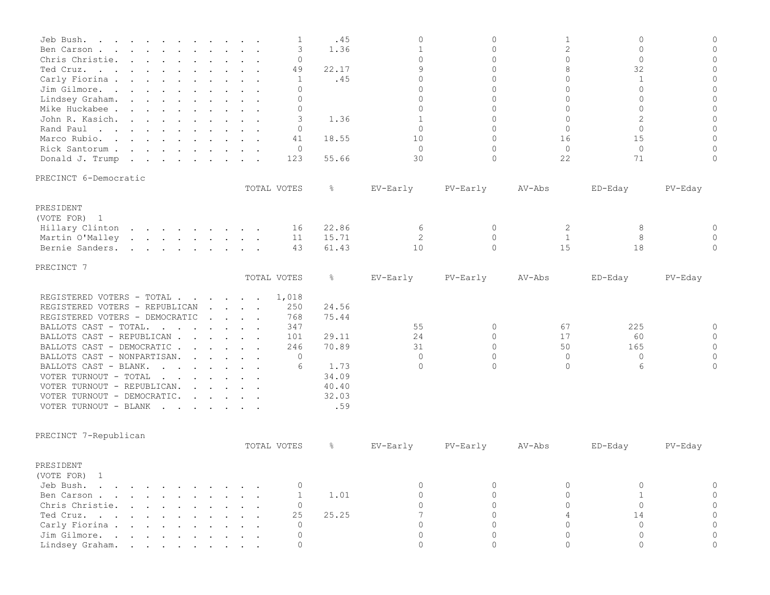| Jeb Bush.                                                                                                                                                                                                                                                  |                                            | 1              | .45   | 0            | $\overline{0}$ | $\mathbf{1}$   | $\circ$           | $\Omega$       |
|------------------------------------------------------------------------------------------------------------------------------------------------------------------------------------------------------------------------------------------------------------|--------------------------------------------|----------------|-------|--------------|----------------|----------------|-------------------|----------------|
| Ben Carson                                                                                                                                                                                                                                                 |                                            | 3              | 1.36  | $\mathbf 1$  | $\overline{0}$ | $\overline{c}$ | $\mathbf{0}$      | $\mathbf{0}$   |
| Chris Christie.<br>$\mathbf{r}$ , $\mathbf{r}$ , $\mathbf{r}$ , $\mathbf{r}$ , $\mathbf{r}$ , $\mathbf{r}$ , $\mathbf{r}$                                                                                                                                  |                                            | $\mathbf{0}$   |       | $\Omega$     | $\Omega$       | $\Omega$       | $\Omega$          | $\mathbf{0}$   |
| Ted Cruz.                                                                                                                                                                                                                                                  |                                            | 49             | 22.17 | 9            | $\Omega$       | 8              | 32                | $\mathbf{0}$   |
| Carly Fiorina                                                                                                                                                                                                                                              |                                            | 1              | .45   | $\Omega$     | $\Omega$       | $\Omega$       | $\mathbf{1}$      | $\mathbf{0}$   |
| Jim Gilmore.                                                                                                                                                                                                                                               |                                            | $\Omega$       |       | $\Omega$     | $\Omega$       | $\Omega$       | $\Omega$          | $\mathbf{0}$   |
| Lindsey Graham.                                                                                                                                                                                                                                            |                                            | $\Omega$       |       | $\Omega$     | $\Omega$       | $\Omega$       | $\Omega$          | $\Omega$       |
| Mike Huckabee                                                                                                                                                                                                                                              |                                            | $\mathbf{0}$   |       | $\Omega$     | $\Omega$       | $\Omega$       | $\Omega$          | $\overline{0}$ |
| John R. Kasich.                                                                                                                                                                                                                                            |                                            | 3              | 1.36  | $\mathbf{1}$ | $\Omega$       | $\Omega$       | $\overline{2}$    | $\overline{0}$ |
| Rand Paul                                                                                                                                                                                                                                                  |                                            | 0              |       | $\Omega$     | $\Omega$       | $\Omega$       | $\Omega$          | $\mathbf{0}$   |
| Marco Rubio.                                                                                                                                                                                                                                               |                                            | 41             | 18.55 | 10           | $\Omega$       | 16             | 15                | $\Omega$       |
| Rick Santorum                                                                                                                                                                                                                                              |                                            | $\circ$        |       | $\Omega$     | $\Omega$       | $\Omega$       | $\Omega$          | $\mathbf{0}$   |
| Donald J. Trump                                                                                                                                                                                                                                            |                                            | 123            | 55.66 | 30           | $\Omega$       | 22             | 71                | $\mathbf{0}$   |
| PRECINCT 6-Democratic                                                                                                                                                                                                                                      |                                            |                |       |              |                |                |                   |                |
|                                                                                                                                                                                                                                                            |                                            | TOTAL VOTES    | ိင    | EV-Early     | PV-Early       | AV-Abs         | ED-Eday           | PV-Eday        |
| PRESIDENT                                                                                                                                                                                                                                                  |                                            |                |       |              |                |                |                   |                |
| (VOTE FOR) 1                                                                                                                                                                                                                                               |                                            |                |       |              |                |                |                   |                |
| Hillary Clinton                                                                                                                                                                                                                                            |                                            | 16             | 22.86 | 6            | 0              | 2              | 8                 | $\mathbf{0}$   |
| Martin O'Malley                                                                                                                                                                                                                                            |                                            | 11             | 15.71 | 2            | $\mathbf{0}$   | 1              | 8                 | $\Omega$       |
| Bernie Sanders.<br>and the contract of the contract of the contract of the contract of the contract of the contract of the contract of the contract of the contract of the contract of the contract of the contract of the contract of the contra          |                                            | 43             | 61.43 | 10           | $\Omega$       | 15             | 18                | $\Omega$       |
| PRECINCT 7                                                                                                                                                                                                                                                 |                                            |                |       |              |                |                |                   |                |
|                                                                                                                                                                                                                                                            | TOTAL VOTES                                |                | ိင    | EV-Early     | PV-Early       | AV-Abs         | ED-Eday           | PV-Eday        |
| REGISTERED VOTERS - TOTAL                                                                                                                                                                                                                                  |                                            | 1,018          |       |              |                |                |                   |                |
| REGISTERED VOTERS - REPUBLICAN                                                                                                                                                                                                                             | $\mathbf{r}$ . $\mathbf{r}$                | 250            | 24.56 |              |                |                |                   |                |
| REGISTERED VOTERS - DEMOCRATIC                                                                                                                                                                                                                             | $\mathbf{r}$ , $\mathbf{r}$ , $\mathbf{r}$ | 768            | 75.44 |              |                |                |                   |                |
| BALLOTS CAST - TOTAL.<br>$\mathbf{r}$ . The contract of the contract of the contract of the contract of the contract of the contract of the contract of the contract of the contract of the contract of the contract of the contract of the contract of th |                                            | 347            |       | 55           | 0              | 67             | 225               | $\mathbf{0}$   |
| BALLOTS CAST - REPUBLICAN                                                                                                                                                                                                                                  |                                            | 101            | 29.11 | 24           | $\Omega$       | 17             | 60                | $\Omega$       |
| BALLOTS CAST - DEMOCRATIC                                                                                                                                                                                                                                  |                                            | 246            | 70.89 | 31           | $\Omega$       | 50             | 165               | $\mathbf{0}$   |
| BALLOTS CAST - NONPARTISAN.<br>$\mathbf{r}$ . The set of $\mathbf{r}$                                                                                                                                                                                      |                                            | 0              |       | $\Omega$     | $\Omega$       | $\circ$        | $\mathbf{0}$      | $\mathbf{0}$   |
| BALLOTS CAST - BLANK.<br>and the contract of the contract of the contract of the contract of the contract of the contract of the contract of the contract of the contract of the contract of the contract of the contract of the contract of the contra    |                                            | 6              | 1.73  | $\Omega$     | $\Omega$       | $\Omega$       | 6                 | $\Omega$       |
| VOTER TURNOUT - TOTAL<br>and the contract of the contract of the contract of the contract of the contract of the contract of the contract of the contract of the contract of the contract of the contract of the contract of the contract of the contra    |                                            |                | 34.09 |              |                |                |                   |                |
| VOTER TURNOUT - REPUBLICAN.<br>$\mathbf{r}$ , $\mathbf{r}$ , $\mathbf{r}$ , $\mathbf{r}$                                                                                                                                                                   |                                            |                | 40.40 |              |                |                |                   |                |
| VOTER TURNOUT - DEMOCRATIC.<br>$\mathbf{r}$ , $\mathbf{r}$ , $\mathbf{r}$ , $\mathbf{r}$                                                                                                                                                                   |                                            |                | 32.03 |              |                |                |                   |                |
| VOTER TURNOUT - BLANK                                                                                                                                                                                                                                      |                                            |                | .59   |              |                |                |                   |                |
| $\mathbf{r}$ , $\mathbf{r}$ , $\mathbf{r}$ , $\mathbf{r}$ , $\mathbf{r}$ , $\mathbf{r}$                                                                                                                                                                    |                                            |                |       |              |                |                |                   |                |
| PRECINCT 7-Republican                                                                                                                                                                                                                                      |                                            |                |       |              |                |                |                   |                |
|                                                                                                                                                                                                                                                            |                                            | TOTAL VOTES    | ိင    | EV-Early     | PV-Early       | AV-Abs         | ED-Eday           | $PV-Eday$      |
| PRESIDENT                                                                                                                                                                                                                                                  |                                            |                |       |              |                |                |                   |                |
| (VOTE FOR) 1                                                                                                                                                                                                                                               |                                            |                |       |              |                |                |                   |                |
| Jeb Bush.                                                                                                                                                                                                                                                  |                                            |                |       | $\Omega$     | 0              |                |                   |                |
| $\mathbf{r}$ . The set of $\mathbf{r}$                                                                                                                                                                                                                     |                                            | $\mathbf{0}$   |       | $\Omega$     | $\Omega$       | 0<br>$\Omega$  | 0<br>$\mathbf{1}$ |                |
| Ben Carson<br>$\cdot$ $\cdot$ $\cdot$                                                                                                                                                                                                                      |                                            | 1              | 1.01  | $\Omega$     |                |                | $\Omega$          |                |
| Chris Christie.                                                                                                                                                                                                                                            |                                            | $\mathbf 0$    |       |              | $\Omega$       | $\Omega$       |                   |                |
| Ted Cruz.                                                                                                                                                                                                                                                  |                                            | 25             | 25.25 | 7            | $\Omega$       | $\Delta$       | 14                |                |
| Carly Fiorina .<br>the contract of the contract of the contract of the contract of the contract of the contract of the contract of                                                                                                                         |                                            | $\overline{0}$ |       | $\cap$       | $\Omega$       | $\cap$         | $\Omega$          |                |
| Jim Gilmore.                                                                                                                                                                                                                                               |                                            | $\mathbf{0}$   |       | $\circ$      | $\circ$        | $\circ$        | $\circ$           | $\Omega$       |
| Lindsey Graham.                                                                                                                                                                                                                                            |                                            | $\circ$        |       | $\Omega$     | $\Omega$       | $\Omega$       | $\Omega$          | $\Omega$       |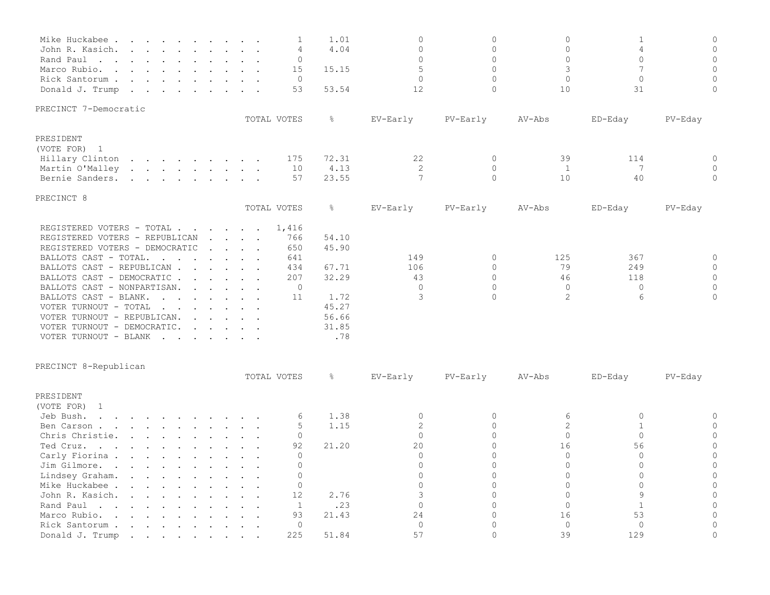| Mike Huckabee<br>John R. Kasich.<br>Rand Paul<br>Marco Rubio.<br>$\mathbf{r}$ , and $\mathbf{r}$ , and $\mathbf{r}$ , and $\mathbf{r}$ , and $\mathbf{r}$<br>Rick Santorum<br>Donald J. Trump                                                                                                                                                                                                                                                                                                                                                                                                                                                                                                                                                                                                                                                                             | 1<br>4<br>0<br>15<br>$\circ$<br>53                                                                                                                                                  | 1.01<br>4.04<br>15.15<br>53.54                                             | 0<br>$\Omega$<br>$\Omega$<br>5<br>$\Omega$<br>12 | $\Omega$<br>$\circ$<br>$\Omega$<br>$\Omega$<br>$\Omega$<br>$\circ$ | $\Omega$<br>$\circ$<br>$\Omega$<br>3<br>$\Omega$<br>10 | 1<br>4<br>$\Omega$<br>$\overline{7}$<br>$\Omega$<br>31 | $\mathbb O$<br>$\circ$<br>$\circ$<br>$\circ$<br>$\mathbf 0$<br>$\mathbf 0$ |
|---------------------------------------------------------------------------------------------------------------------------------------------------------------------------------------------------------------------------------------------------------------------------------------------------------------------------------------------------------------------------------------------------------------------------------------------------------------------------------------------------------------------------------------------------------------------------------------------------------------------------------------------------------------------------------------------------------------------------------------------------------------------------------------------------------------------------------------------------------------------------|-------------------------------------------------------------------------------------------------------------------------------------------------------------------------------------|----------------------------------------------------------------------------|--------------------------------------------------|--------------------------------------------------------------------|--------------------------------------------------------|--------------------------------------------------------|----------------------------------------------------------------------------|
| PRECINCT 7-Democratic                                                                                                                                                                                                                                                                                                                                                                                                                                                                                                                                                                                                                                                                                                                                                                                                                                                     |                                                                                                                                                                                     |                                                                            |                                                  |                                                                    |                                                        |                                                        |                                                                            |
|                                                                                                                                                                                                                                                                                                                                                                                                                                                                                                                                                                                                                                                                                                                                                                                                                                                                           | TOTAL VOTES                                                                                                                                                                         | ိဝ                                                                         | EV-Early                                         | PV-Early                                                           | AV-Abs                                                 | ED-Eday                                                | PV-Eday                                                                    |
| PRESIDENT<br>(VOTE FOR) 1<br>Hillary Clinton<br>the contract of the contract of the contract of the contract of the contract of the contract of the contract of<br>Martin O'Malley<br>Bernie Sanders.<br>the contract of the contract of the contract of the contract of the contract of the contract of the contract of                                                                                                                                                                                                                                                                                                                                                                                                                                                                                                                                                  | 175<br>10<br>57                                                                                                                                                                     | 72.31<br>4.13<br>23.55                                                     | 22<br>2<br>$\overline{7}$                        | $\mathbf 0$<br>$\mathbf 0$<br>$\Omega$                             | 39<br>1<br>10                                          | 114<br>7<br>40                                         | 0<br>0<br>$\Omega$                                                         |
| PRECINCT 8                                                                                                                                                                                                                                                                                                                                                                                                                                                                                                                                                                                                                                                                                                                                                                                                                                                                |                                                                                                                                                                                     |                                                                            |                                                  |                                                                    |                                                        |                                                        |                                                                            |
|                                                                                                                                                                                                                                                                                                                                                                                                                                                                                                                                                                                                                                                                                                                                                                                                                                                                           | TOTAL VOTES                                                                                                                                                                         | $\frac{6}{6}$                                                              | EV-Early                                         | PV-Early                                                           | AV-Abs                                                 | ED-Eday                                                | PV-Eday                                                                    |
| REGISTERED VOTERS - TOTAL<br>REGISTERED VOTERS - REPUBLICAN<br>REGISTERED VOTERS - DEMOCRATIC<br>BALLOTS CAST - TOTAL.<br>$\mathbf{r}$ . The contract of the contract of the contract of the contract of the contract of the contract of the contract of the contract of the contract of the contract of the contract of the contract of the contract of th<br>BALLOTS CAST - REPUBLICAN<br>BALLOTS CAST - DEMOCRATIC<br>BALLOTS CAST - NONPARTISAN.<br>$\mathbf{r}$ . The set of $\mathbf{r}$<br>BALLOTS CAST - BLANK.<br>VOTER TURNOUT - TOTAL<br>and the contract of the contract of the contract of the contract of the contract of the contract of the contract of the contract of the contract of the contract of the contract of the contract of the contract of the contra<br>VOTER TURNOUT - REPUBLICAN.<br>VOTER TURNOUT - DEMOCRATIC.<br>VOTER TURNOUT - BLANK | 1,416<br>$\mathbf{r}$ , $\mathbf{r}$ , $\mathbf{r}$ , $\mathbf{r}$<br>766<br>650<br>$\mathbf{r}$ , $\mathbf{r}$ , $\mathbf{r}$ , $\mathbf{r}$<br>641<br>434<br>207<br>$\circ$<br>11 | 54.10<br>45.90<br>67.71<br>32.29<br>1.72<br>45.27<br>56.66<br>31.85<br>.78 | 149<br>106<br>43<br>$\Omega$<br>3                | $\Omega$<br>$\Omega$<br>$\Omega$<br>$\Omega$<br>$\Omega$           | 125<br>79<br>46<br>$\circ$<br>$\overline{2}$           | 367<br>249<br>118<br>$\mathbf{0}$<br>6                 | 0<br>$\circ$<br>$\circ$<br>$\circ$<br>$\circ$                              |
| PRECINCT 8-Republican                                                                                                                                                                                                                                                                                                                                                                                                                                                                                                                                                                                                                                                                                                                                                                                                                                                     |                                                                                                                                                                                     |                                                                            |                                                  |                                                                    |                                                        |                                                        |                                                                            |
|                                                                                                                                                                                                                                                                                                                                                                                                                                                                                                                                                                                                                                                                                                                                                                                                                                                                           | TOTAL VOTES                                                                                                                                                                         | $\frac{6}{6}$                                                              | EV-Early                                         | PV-Early                                                           | AV-Abs                                                 | ED-Eday                                                | PV-Eday                                                                    |
| PRESIDENT<br>(VOTE FOR) 1<br>Jeb Bush.<br>Ben Carson<br>Chris Christie.<br>Ted Cruz.                                                                                                                                                                                                                                                                                                                                                                                                                                                                                                                                                                                                                                                                                                                                                                                      | 6<br>5<br>0<br>92                                                                                                                                                                   | 1.38<br>1.15<br>21.20                                                      | 0<br>$\overline{c}$<br>$\Omega$<br>20            | 0<br>$\Omega$<br>$\Omega$<br>$\Omega$                              | 6<br>2<br>$\Omega$<br>16                               | 0<br>$\mathbf{1}$<br>$\Omega$<br>56                    | 0<br>$\circ$<br>$\circ$<br>$\circ$                                         |
| Carly Fiorina<br>Jim Gilmore                                                                                                                                                                                                                                                                                                                                                                                                                                                                                                                                                                                                                                                                                                                                                                                                                                              | $\mathbf{0}$<br>0                                                                                                                                                                   |                                                                            | $\Omega$<br>$\Omega$                             | $\Omega$<br>$\Omega$                                               | $\Omega$<br>$\Omega$                                   | $\Omega$<br>$\Omega$                                   | $\overline{0}$<br>$\Omega$                                                 |
| Lindsey Graham.<br>$\mathbf{r} = \mathbf{r} - \mathbf{r} = \mathbf{r} - \mathbf{r} = \mathbf{r}$<br>Mike Huckabee .<br>$\mathbf{L} = \mathbf{L}$<br>John R. Kasich.<br>Rand Paul                                                                                                                                                                                                                                                                                                                                                                                                                                                                                                                                                                                                                                                                                          | $\mathbf{0}$<br>$\mathbf 0$<br>12<br>1<br>$\cdot$ $\cdot$                                                                                                                           | 2.76<br>.23                                                                | U<br>0<br>3<br>$\Omega$                          | 0<br>0<br>$\Omega$<br>$\Omega$                                     | $\Omega$<br>0<br>$\Omega$                              | 0<br>$\circ$<br>9<br>$\mathbf{1}$                      | $\circ$<br>$\circ$<br>$\Omega$                                             |
| Marco Rubio.<br>the contract of the contract of<br>$\sim$ $\sim$                                                                                                                                                                                                                                                                                                                                                                                                                                                                                                                                                                                                                                                                                                                                                                                                          | 93                                                                                                                                                                                  | 21.43                                                                      | 24                                               | $\circ$                                                            | 16                                                     | 53                                                     | $\circ$                                                                    |
| Rick Santorum.<br>$\mathbf{r}$ and $\mathbf{r}$ and $\mathbf{r}$ and $\mathbf{r}$<br>Donald J. Trump                                                                                                                                                                                                                                                                                                                                                                                                                                                                                                                                                                                                                                                                                                                                                                      | $\mathbf 0$<br>225                                                                                                                                                                  | 51.84                                                                      | $\circ$<br>57                                    | 0<br>$\Omega$                                                      | $\circ$<br>39                                          | $\circ$<br>129                                         | $\mathbf{0}$<br>$\Omega$                                                   |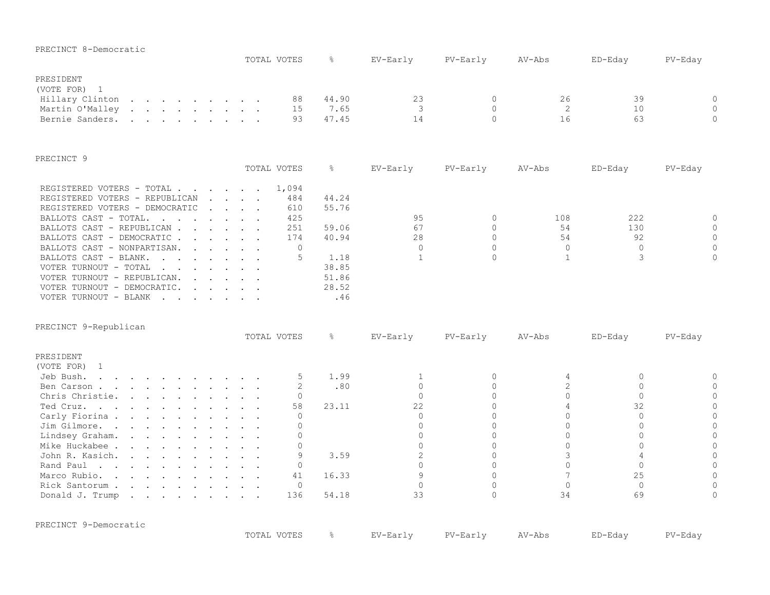| PRECINCT 8-Democratic                                                                                                                                                                                                                                                                                   |                                                                            | TOTAL VOTES       | ⊱             | EV-Early                     | PV-Early             | $AV-Abs$        | ED-Eday           | PV-Eday             |
|---------------------------------------------------------------------------------------------------------------------------------------------------------------------------------------------------------------------------------------------------------------------------------------------------------|----------------------------------------------------------------------------|-------------------|---------------|------------------------------|----------------------|-----------------|-------------------|---------------------|
| PRESIDENT                                                                                                                                                                                                                                                                                               |                                                                            |                   |               |                              |                      |                 |                   |                     |
| (VOTE FOR) 1                                                                                                                                                                                                                                                                                            |                                                                            |                   |               |                              |                      |                 |                   |                     |
| Hillary Clinton                                                                                                                                                                                                                                                                                         |                                                                            | 88                | 44.90         | 23                           | $\mathbf{0}$         | 26              | 39                | $\circ$             |
| Martin O'Malley<br>$\mathbf{r}$ . The contract of the contract of the contract of the contract of the contract of the contract of the contract of the contract of the contract of the contract of the contract of the contract of the contract of th                                                    |                                                                            | 15                | 7.65          | 3                            | $\Omega$             | 2               | 10                | $\mathbf 0$         |
| Bernie Sanders.                                                                                                                                                                                                                                                                                         |                                                                            | 93                | 47.45         | 14                           | $\Omega$             | 16              | 63                | $\Omega$            |
| PRECINCT 9                                                                                                                                                                                                                                                                                              |                                                                            |                   |               |                              |                      |                 |                   |                     |
|                                                                                                                                                                                                                                                                                                         |                                                                            | TOTAL VOTES       | $\frac{6}{6}$ | EV-Early                     | PV-Early             | AV-Abs          | ED-Eday           | PV-Eday             |
| REGISTERED VOTERS - TOTAL<br>REGISTERED VOTERS - REPUBLICAN                                                                                                                                                                                                                                             | $\mathbf{r}$ , $\mathbf{r}$ , $\mathbf{r}$ , $\mathbf{r}$ , $\mathbf{r}$   | 1,094<br>484      | 44.24         |                              |                      |                 |                   |                     |
| REGISTERED VOTERS - DEMOCRATIC                                                                                                                                                                                                                                                                          | $\mathbf{L} = \mathbf{L} \times \mathbf{L} = \mathbf{L} \times \mathbf{L}$ | 610               | 55.76         |                              |                      |                 |                   |                     |
| BALLOTS CAST - TOTAL.<br>$\mathbf{r}$ , $\mathbf{r}$ , $\mathbf{r}$ , $\mathbf{r}$ , $\mathbf{r}$ , $\mathbf{r}$                                                                                                                                                                                        |                                                                            | 425               |               | 95                           | $\circ$              | 108             | 222               | $\circ$             |
| BALLOTS CAST - REPUBLICAN                                                                                                                                                                                                                                                                               |                                                                            | 251               | 59.06         | 67                           | $\bigcap$            | 54              | 130               | $\mathbf 0$         |
| BALLOTS CAST - DEMOCRATIC                                                                                                                                                                                                                                                                               |                                                                            | 174               | 40.94         | 28                           | $\Omega$<br>$\Omega$ | 54<br>$\Omega$  | 92                | $\Omega$            |
| BALLOTS CAST - NONPARTISAN.<br>$\mathbf{r}$ , $\mathbf{r}$ , $\mathbf{r}$ , $\mathbf{r}$                                                                                                                                                                                                                |                                                                            | $\mathbf{0}$<br>5 |               | $\mathbf{0}$<br>$\mathbf{1}$ | $\Omega$             | $\mathbf{1}$    | $\mathbf{0}$<br>3 | $\circ$<br>$\Omega$ |
| BALLOTS CAST - BLANK.<br>$\mathbf{r}$ , $\mathbf{r}$ , $\mathbf{r}$ , $\mathbf{r}$ , $\mathbf{r}$<br>VOTER TURNOUT - TOTAL                                                                                                                                                                              |                                                                            |                   | 1.18<br>38.85 |                              |                      |                 |                   |                     |
| and the contract of the contract of the contract of the contract of the contract of the contract of the contract of the contract of the contract of the contract of the contract of the contract of the contract of the contra<br>VOTER TURNOUT - REPUBLICAN.<br>$\mathbf{r}$ . The set of $\mathbf{r}$ |                                                                            |                   | 51.86         |                              |                      |                 |                   |                     |
| VOTER TURNOUT - DEMOCRATIC.<br>$\mathbf{r}$ . The set of the set of the set of the set of the set of the set of the set of the set of the set of the set of the set of the set of the set of the set of the set of the set of the set of the set of the set of t                                        |                                                                            |                   | 28.52         |                              |                      |                 |                   |                     |
| VOTER TURNOUT - BLANK                                                                                                                                                                                                                                                                                   |                                                                            |                   | .46           |                              |                      |                 |                   |                     |
| PRECINCT 9-Republican                                                                                                                                                                                                                                                                                   |                                                                            | TOTAL VOTES       | $\frac{6}{6}$ | EV-Early                     | PV-Early             | $AV-Abs$        | ED-Eday           | $PV$ -Eday          |
| PRESIDENT                                                                                                                                                                                                                                                                                               |                                                                            |                   |               |                              |                      |                 |                   |                     |
| (VOTE FOR)<br>1                                                                                                                                                                                                                                                                                         |                                                                            |                   |               |                              |                      |                 |                   |                     |
| Jeb Bush.<br>$\mathbf{r}$ , and $\mathbf{r}$ , and $\mathbf{r}$ , and $\mathbf{r}$ , and $\mathbf{r}$                                                                                                                                                                                                   |                                                                            | 5                 | 1.99          | 1                            | 0                    | 4               | $\circ$           | 0                   |
| Ben Carson                                                                                                                                                                                                                                                                                              |                                                                            | 2                 | .80           | $\Omega$                     | $\Omega$             | $\overline{c}$  | $\Omega$          | $\Omega$            |
| Chris Christie.<br>$\mathbf{r}$ , $\mathbf{r}$ , $\mathbf{r}$ , $\mathbf{r}$ , $\mathbf{r}$ , $\mathbf{r}$ , $\mathbf{r}$                                                                                                                                                                               |                                                                            | $\Omega$          |               | $\Omega$                     | $\Omega$             | $\Omega$        | $\Omega$          | $\Omega$            |
| Ted Cruz.                                                                                                                                                                                                                                                                                               |                                                                            | 58                | 23.11         | 22                           | $\Omega$             | $\overline{4}$  | 32                | $\mathbf 0$         |
| Carly Fiorina                                                                                                                                                                                                                                                                                           |                                                                            | $\Omega$          |               | $\bigcap$                    | $\Omega$             | $\Omega$        | $\circ$           | $\mathbf 0$         |
| Jim Gilmore.                                                                                                                                                                                                                                                                                            |                                                                            | $\Omega$          |               | $\Omega$                     | $\Omega$             | $\Omega$        | $\Omega$          | $\Omega$            |
| Lindsey Graham.<br>and the contract of the contract of the contract of the contract of the contract of the contract of the contract of the contract of the contract of the contract of the contract of the contract of the contract of the contra                                                       |                                                                            | $\Omega$          |               | $\Omega$                     | $\Omega$             | $\Omega$        | $\Omega$          | $\circ$             |
| Mike Huckabee                                                                                                                                                                                                                                                                                           |                                                                            | $\overline{0}$    |               | $\Omega$                     | $\Omega$             | $\Omega$        | $\Omega$          | $\mathbf 0$         |
| John R. Kasich.                                                                                                                                                                                                                                                                                         |                                                                            | 9                 | 3.59          | $\overline{c}$               | $\Omega$             | 3               | $\overline{4}$    | $\Omega$            |
| Rand Paul                                                                                                                                                                                                                                                                                               |                                                                            | 0                 |               | $\Omega$                     | $\Omega$             | $\Omega$        | $\Omega$          | $\overline{0}$      |
| Marco Rubio.                                                                                                                                                                                                                                                                                            |                                                                            | 41                | 16.33         | $\overline{9}$               | $\Omega$             | $7\overline{ }$ | 25                | $\Omega$            |
| Rick Santorum                                                                                                                                                                                                                                                                                           |                                                                            | $\Omega$          |               | $\Omega$                     | $\Omega$             | $\Omega$        | $\Omega$          | $\Omega$            |
| Donald J. Trump                                                                                                                                                                                                                                                                                         |                                                                            | 136               | 54.18         | 33                           | $\Omega$             | 34              | 69                | $\Omega$            |
| PRECINCT 9-Democratic                                                                                                                                                                                                                                                                                   |                                                                            |                   |               |                              |                      |                 |                   |                     |
|                                                                                                                                                                                                                                                                                                         |                                                                            | TOTAL VOTES       | $\frac{6}{6}$ | EV-Early                     | PV-Early             | AV-Abs          | ED-Eday           | PV-Eday             |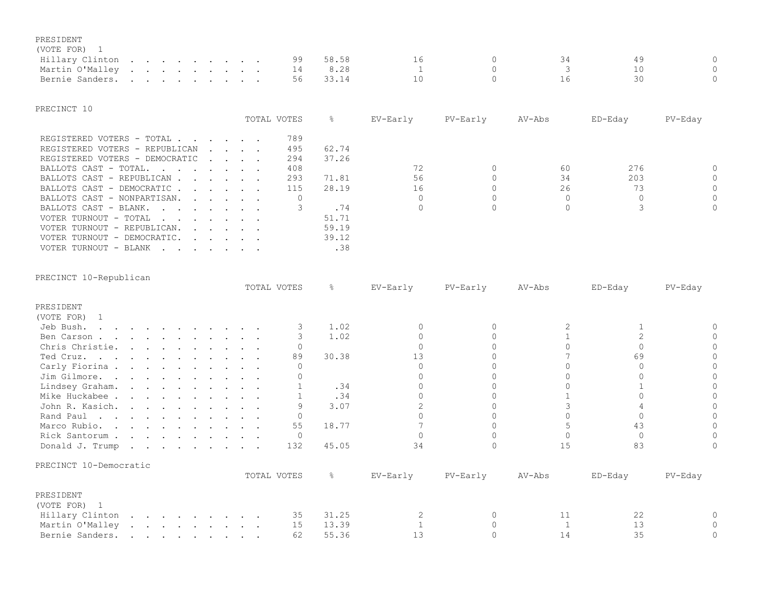## PRESIDENT

## (VOTE FOR) 1

| Hillary Clinton   |  |  |  |  | 99 |  |  |  |
|-------------------|--|--|--|--|----|--|--|--|
| Martin O'Malley 1 |  |  |  |  |    |  |  |  |
| Bernie Sanders.   |  |  |  |  |    |  |  |  |

#### PRECINCT 10

|                                                                                  |                                                           | TOTAL VOTES | 옹     | EV-Early | PV-Early | AV-Abs | ED-Eday | PV-Eday  |
|----------------------------------------------------------------------------------|-----------------------------------------------------------|-------------|-------|----------|----------|--------|---------|----------|
|                                                                                  |                                                           |             |       |          |          |        |         |          |
| REGISTERED VOTERS - TOTAL                                                        |                                                           | 789         |       |          |          |        |         |          |
| REGISTERED VOTERS - REPUBLICAN                                                   | $\mathbf{r}$ , $\mathbf{r}$ , $\mathbf{r}$ , $\mathbf{r}$ | 495         | 62.74 |          |          |        |         |          |
| REGISTERED VOTERS - DEMOCRATIC                                                   |                                                           | 294         | 37.26 |          |          |        |         |          |
| BALLOTS CAST - TOTAL                                                             |                                                           | 408         |       |          |          | 60     | 276     | $\Omega$ |
| BALLOTS CAST - REPUBLICAN                                                        |                                                           | 293         | 71.81 | 56       |          | 34     | 203     | $\Omega$ |
| BALLOTS CAST - DEMOCRATIC                                                        |                                                           | 115         | 28.19 | 16       |          | 26     | 73      | $\Omega$ |
| BALLOTS CAST - NONPARTISAN.                                                      |                                                           |             |       |          |          |        |         | $\Omega$ |
| BALLOTS CAST - BLANK.                                                            |                                                           |             | .74   |          |          |        |         | $\Omega$ |
| VOTER TURNOUT - TOTAL                                                            |                                                           |             | 51.71 |          |          |        |         |          |
| VOTER TURNOUT - REPUBLICAN.                                                      |                                                           |             | 59.19 |          |          |        |         |          |
| VOTER TURNOUT - DEMOCRATIC.<br>$\mathbf{r}$ . The set of the set of $\mathbf{r}$ |                                                           |             | 39.12 |          |          |        |         |          |
| VOTER TURNOUT - BLANK                                                            |                                                           |             | .38   |          |          |        |         |          |

| PRECINCT 10-Republican |
|------------------------|

|                        |  |  |  |  | TOTAL VOTES | 옹             | EV-Early | PV-Early | AV-Abs | ED-Eday | PV-Eday |
|------------------------|--|--|--|--|-------------|---------------|----------|----------|--------|---------|---------|
| PRESIDENT              |  |  |  |  |             |               |          |          |        |         |         |
| (VOTE FOR) 1           |  |  |  |  |             |               |          |          |        |         |         |
| Jeb Bush.              |  |  |  |  |             | 1.02          |          |          |        |         |         |
| Ben Carson             |  |  |  |  |             | 1.02          |          |          |        |         |         |
| Chris Christie.        |  |  |  |  |             |               |          |          |        |         |         |
| Ted Cruz.              |  |  |  |  | 89          | 30.38         | 1 ว      |          |        | 69      |         |
| Carly Fiorina          |  |  |  |  |             |               |          |          |        |         |         |
| Jim Gilmore.           |  |  |  |  |             |               |          |          |        |         |         |
| Lindsey Graham.        |  |  |  |  |             | .34           |          |          |        |         |         |
| Mike Huckabee          |  |  |  |  |             | .34           |          |          |        |         |         |
| John R. Kasich.        |  |  |  |  |             | 3.07          |          |          |        |         |         |
| Rand Paul              |  |  |  |  |             |               |          |          |        |         |         |
| Marco Rubio.           |  |  |  |  | 55          | 18.77         |          |          |        | 43      |         |
| Rick Santorum          |  |  |  |  |             |               |          |          |        |         |         |
| Donald J. Trump        |  |  |  |  | 132         | 45.05         | 34       |          | 15     | 83      |         |
| PRECINCT 10-Democratic |  |  |  |  |             |               |          |          |        |         |         |
|                        |  |  |  |  | TOTAL VOTES | $\frac{6}{6}$ | EV-Early | PV-Early | AV-Abs | ED-Eday | PV-Eday |
| PRESIDENT              |  |  |  |  |             |               |          |          |        |         |         |
| (VOTE FOR) 1           |  |  |  |  |             |               |          |          |        |         |         |
| Hillary Clinton        |  |  |  |  | 35          | 31.25         |          |          | 11     | 22      |         |
| Martin O'Malley        |  |  |  |  | 15          | 13.39         |          |          |        | 13      |         |
| Bernie Sanders.        |  |  |  |  | 62          | 55.36         |          |          | 14     | 35      |         |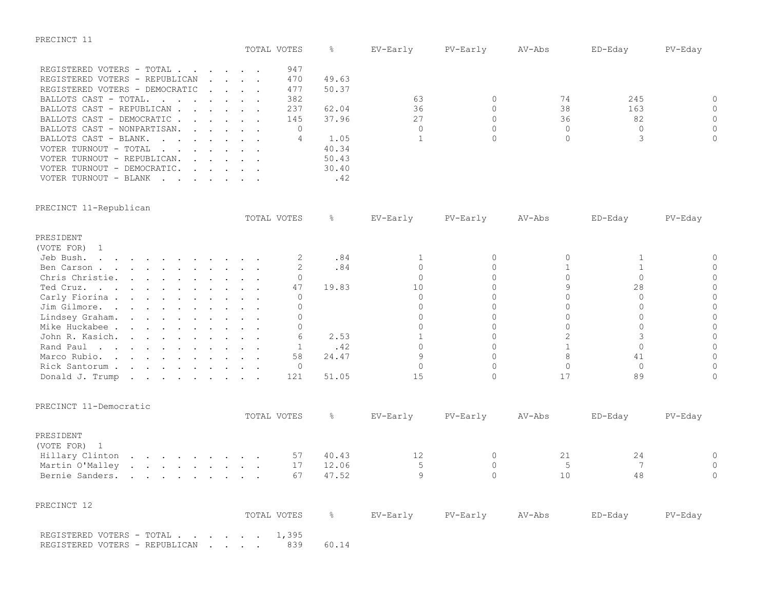| PRECINCT |  |
|----------|--|
|----------|--|

|                                |                                                                                                                                                                                                                                   |  | TOTAL VOTES |       | EV-Early | PV-Early | AV-Abs | ED-Eday | PV-Eday  |
|--------------------------------|-----------------------------------------------------------------------------------------------------------------------------------------------------------------------------------------------------------------------------------|--|-------------|-------|----------|----------|--------|---------|----------|
|                                |                                                                                                                                                                                                                                   |  |             |       |          |          |        |         |          |
| REGISTERED VOTERS - TOTAL      |                                                                                                                                                                                                                                   |  | 947         |       |          |          |        |         |          |
| REGISTERED VOTERS - REPUBLICAN | $\sim$ $\sim$ $\sim$ $\sim$ $\sim$                                                                                                                                                                                                |  | 470         | 49.63 |          |          |        |         |          |
| REGISTERED VOTERS - DEMOCRATIC |                                                                                                                                                                                                                                   |  | 477         | 50.37 |          |          |        |         |          |
| BALLOTS CAST - TOTAL           |                                                                                                                                                                                                                                   |  | 382         |       | 63       |          |        | 245     | $\Omega$ |
| BALLOTS CAST - REPUBLICAN      |                                                                                                                                                                                                                                   |  | 237         | 62.04 | 36       |          | 38     | 163     | $\Omega$ |
| BALLOTS CAST - DEMOCRATIC      |                                                                                                                                                                                                                                   |  | 145         | 37.96 | 27       |          | 36     | 82      | $\Omega$ |
| BALLOTS CAST - NONPARTISAN.    |                                                                                                                                                                                                                                   |  |             |       |          |          |        |         | $\Omega$ |
| BALLOTS CAST - BLANK.          |                                                                                                                                                                                                                                   |  |             | 1.05  |          |          |        |         | $\Omega$ |
| VOTER TURNOUT - TOTAL          |                                                                                                                                                                                                                                   |  |             | 40.34 |          |          |        |         |          |
| VOTER TURNOUT - REPUBLICAN.    | $\mathbf{r}$ , $\mathbf{r}$ , $\mathbf{r}$ , $\mathbf{r}$ , $\mathbf{r}$                                                                                                                                                          |  |             | 50.43 |          |          |        |         |          |
| VOTER TURNOUT - DEMOCRATIC.    | $\mathbf{r}$ . The contract of the contract of the contract of the contract of the contract of the contract of the contract of the contract of the contract of the contract of the contract of the contract of the contract of th |  |             | 30.40 |          |          |        |         |          |
| VOTER TURNOUT - BLANK          |                                                                                                                                                                                                                                   |  |             | .42   |          |          |        |         |          |

PRECINCT 11-Republican

|                                                             |  |  |  |  |  | TOTAL VOTES  | &     | EV-Early     | PV-Early | AV-Abs         | ED-Eday      | PV-Eday  |
|-------------------------------------------------------------|--|--|--|--|--|--------------|-------|--------------|----------|----------------|--------------|----------|
| PRESIDENT                                                   |  |  |  |  |  |              |       |              |          |                |              |          |
| (VOTE FOR) 1                                                |  |  |  |  |  |              |       |              |          |                |              |          |
| Jeb Bush.                                                   |  |  |  |  |  | 2            | .84   |              | $\Omega$ | $\circ$        |              | $\Omega$ |
| Ben Carson                                                  |  |  |  |  |  | 2            | .84   | $\Omega$     | $\Omega$ | 1              | $\mathbf{1}$ | $\Omega$ |
| Chris Christie.                                             |  |  |  |  |  | $\Omega$     |       | $\Omega$     | $\cap$   | $\Omega$       | $\Omega$     | $\cap$   |
| Ted Cruz.                                                   |  |  |  |  |  | 47           | 19.83 | 10           |          | $\circ$        | 28           | $\Omega$ |
| Carly Fiorina                                               |  |  |  |  |  | $\Omega$     |       | $\Omega$     | $\cap$   | $\Omega$       | $\bigcap$    |          |
| Jim Gilmore.                                                |  |  |  |  |  |              |       | $\Omega$     | $\Omega$ | $\Omega$       | $\bigcap$    | $\Omega$ |
| Lindsey Graham.                                             |  |  |  |  |  | $\Omega$     |       | $\Omega$     | $\cap$   | $\Omega$       | $\Omega$     | $\cap$   |
| Mike Huckabee                                               |  |  |  |  |  | $\Omega$     |       | $\cap$       | $\cap$   | $\Omega$       | $\Omega$     | $\cap$   |
| John R. Kasich.                                             |  |  |  |  |  |              | 2.53  |              | $\cap$   | $\overline{c}$ | 3            | $\Omega$ |
| Rand Paul                                                   |  |  |  |  |  |              | .42   | $\cap$       | $\Omega$ | $\mathbf{1}$   | $\Omega$     | $\Omega$ |
| Marco Rubio.                                                |  |  |  |  |  | 58           | 24.47 | 9            | $\Omega$ | 8              | 41           | $\Omega$ |
| Rick Santorum                                               |  |  |  |  |  | $\Omega$     |       | $\Omega$     | $\Omega$ | $\Omega$       | $\Omega$     | $\Omega$ |
| Donald J. Trump                                             |  |  |  |  |  | 121          | 51.05 | 1.5          | $\cap$   | 17             | 89           | $\Omega$ |
| PRECINCT 11-Democratic                                      |  |  |  |  |  | TOTAL VOTES  | &     | EV-Early     | PV-Early | AV-Abs         | ED-Eday      | PV-Eday  |
| PRESIDENT<br>(VOTE FOR) 1                                   |  |  |  |  |  |              |       |              |          |                |              |          |
| Hillary Clinton                                             |  |  |  |  |  | 57           | 40.43 | 12           | 0        | 21             | 24           | $\Omega$ |
| Martin O'Malley                                             |  |  |  |  |  | 17           | 12.06 | .5           | $\Omega$ | 5              | 7            | $\Omega$ |
| Bernie Sanders.                                             |  |  |  |  |  | 67           | 47.52 | $\mathsf{Q}$ | $\cap$   | 10             | 48           | $\Omega$ |
| PRECINCT 12                                                 |  |  |  |  |  |              |       |              |          |                |              |          |
|                                                             |  |  |  |  |  | TOTAL VOTES  | ိင    | EV-Early     | PV-Early | AV-Abs         | ED-Eday      | PV-Eday  |
| REGISTERED VOTERS - TOTAL<br>REGISTERED VOTERS - REPUBLICAN |  |  |  |  |  | 1,395<br>839 | 60.14 |              |          |                |              |          |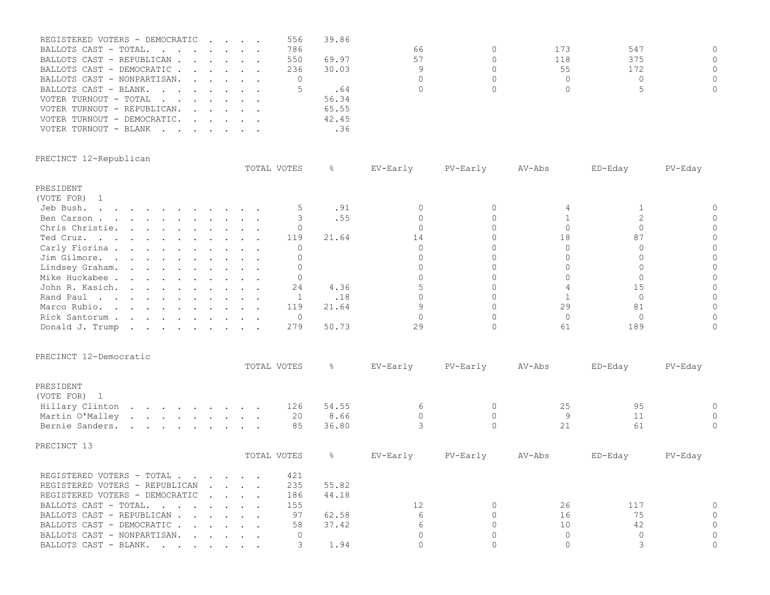| REGISTERED VOTERS - DEMOCRATIC |  |  | 556 | 39.86 |    |     |     |           |
|--------------------------------|--|--|-----|-------|----|-----|-----|-----------|
| BALLOTS CAST - TOTAL.          |  |  | 786 |       | 66 | 173 | 547 | $\cap$    |
| BALLOTS CAST - REPUBLICAN      |  |  | 550 | 69.97 | 57 | 118 | 375 | $\Omega$  |
| BALLOTS CAST - DEMOCRATIC      |  |  | 236 | 30.03 |    | 55  | 172 | $\Omega$  |
| BALLOTS CAST - NONPARTISAN.    |  |  |     |       |    |     |     | $\bigcap$ |
| BALLOTS CAST - BLANK.          |  |  |     | . 64  |    |     |     | $\Omega$  |
| VOTER TURNOUT - TOTAL          |  |  |     | 56.34 |    |     |     |           |
| VOTER TURNOUT - REPUBLICAN.    |  |  |     | 65.55 |    |     |     |           |
| VOTER TURNOUT - DEMOCRATIC.    |  |  |     | 42.45 |    |     |     |           |
| VOTER TURNOUT - BLANK          |  |  |     | .36   |    |     |     |           |
|                                |  |  |     |       |    |     |     |           |

|  | PRECINCT 12-Republican |
|--|------------------------|
|--|------------------------|

|                         |  |  |  |  |  | TOTAL VOTES    | 옹     | EV-Early | PV-Early | $AV-Abs$ | ED-Eday | PV-Eday |
|-------------------------|--|--|--|--|--|----------------|-------|----------|----------|----------|---------|---------|
| PRESIDENT               |  |  |  |  |  |                |       |          |          |          |         |         |
| (VOTE FOR) 1            |  |  |  |  |  |                |       |          |          |          |         |         |
| Jeb Bush.               |  |  |  |  |  |                | .91   |          |          |          |         |         |
| Ben Carson              |  |  |  |  |  |                | .55   |          |          |          |         |         |
| Chris Christie.         |  |  |  |  |  |                |       |          |          |          |         |         |
| Ted Cruz.               |  |  |  |  |  | 119            | 21.64 | 14       |          | 18       |         |         |
| Carly Fiorina           |  |  |  |  |  |                |       |          |          |          |         |         |
| Jim Gilmore.            |  |  |  |  |  |                |       |          |          |          |         |         |
| Lindsey Graham.         |  |  |  |  |  |                |       |          |          |          |         |         |
| Mike Huckabee           |  |  |  |  |  |                |       |          |          |          |         |         |
| John R. Kasich.         |  |  |  |  |  | 24             | 4.36  |          |          |          | 15      |         |
| Rand Paul               |  |  |  |  |  |                | .18   |          |          |          |         |         |
| Marco Rubio.            |  |  |  |  |  | 119            | 21.64 |          |          | 29       | 81      |         |
| Rick Santorum           |  |  |  |  |  | $\overline{0}$ |       |          |          |          |         |         |
| Donald J. Trump         |  |  |  |  |  | 279            | 50.73 | 29       |          | 61       | 189     |         |
| PRECINCT 12-Democratic  |  |  |  |  |  |                |       |          |          |          |         |         |
|                         |  |  |  |  |  | TOTAL VOTES    | ိင    | EV-Early | PV-Early | AV-Abs   | ED-Eday | PV-Eday |
| PRESIDENT<br>(VOTE FOR) |  |  |  |  |  |                |       |          |          |          |         |         |

| 95<br>54.55<br>6<br>126<br>25<br>Hillary Clinton<br>20<br>8.66<br>Martin O'Malley<br>36.80<br>21<br>61<br>Bernie Sanders.<br>85<br>PRECINCT 13<br>TOTAL VOTES<br>⊱<br>EV-Early<br>AV-Abs<br>PV-Early<br>ED-Eday<br>421<br>REGISTERED VOTERS - TOTAL<br>235<br>55.82<br>REGISTERED VOTERS - REPUBLICAN<br>$\sim$ $\sim$ $\sim$ $\sim$ $\sim$<br>186<br>44.18<br>REGISTERED VOTERS - DEMOCRATIC | O<br>O<br>PV-Eday |
|-----------------------------------------------------------------------------------------------------------------------------------------------------------------------------------------------------------------------------------------------------------------------------------------------------------------------------------------------------------------------------------------------|-------------------|
|                                                                                                                                                                                                                                                                                                                                                                                               |                   |
|                                                                                                                                                                                                                                                                                                                                                                                               |                   |
|                                                                                                                                                                                                                                                                                                                                                                                               |                   |
|                                                                                                                                                                                                                                                                                                                                                                                               |                   |
|                                                                                                                                                                                                                                                                                                                                                                                               |                   |
|                                                                                                                                                                                                                                                                                                                                                                                               |                   |
|                                                                                                                                                                                                                                                                                                                                                                                               |                   |
|                                                                                                                                                                                                                                                                                                                                                                                               |                   |
| 155<br>26<br>117<br>12<br>BALLOTS CAST - TOTAL.                                                                                                                                                                                                                                                                                                                                               |                   |
| 75<br>6<br>97<br>16<br>62.58<br>BALLOTS CAST - REPUBLICAN                                                                                                                                                                                                                                                                                                                                     |                   |
| 37.42<br>6<br>10<br>42<br>58<br>BALLOTS CAST - DEMOCRATIC                                                                                                                                                                                                                                                                                                                                     |                   |
| BALLOTS CAST - NONPARTISAN.<br>$\mathbf{r}$ , and $\mathbf{r}$ , and $\mathbf{r}$                                                                                                                                                                                                                                                                                                             |                   |
| 1.94<br>BALLOTS CAST - BLANK.                                                                                                                                                                                                                                                                                                                                                                 |                   |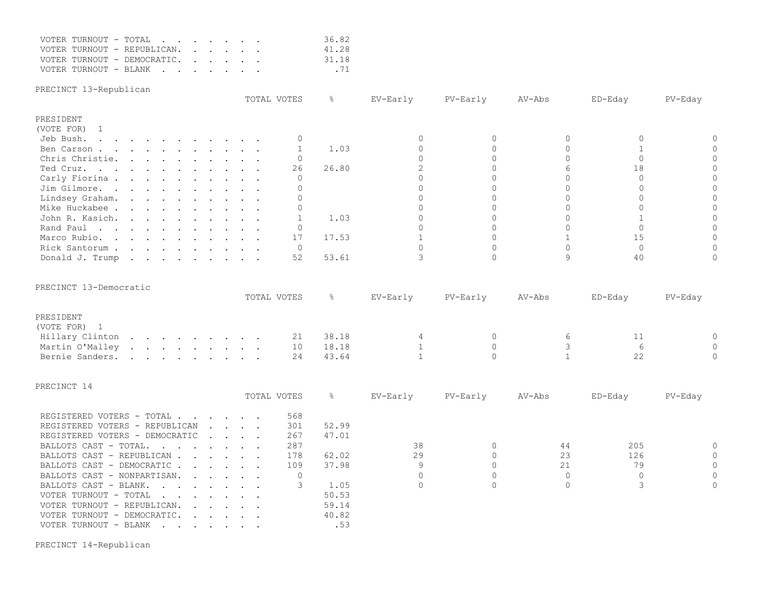|  | VOTER TURNOUT - TOTAL       |  |  |  | 36.82 |
|--|-----------------------------|--|--|--|-------|
|  | VOTER TURNOUT - REPUBLICAN. |  |  |  | 41.28 |
|  | VOTER TURNOUT - DEMOCRATIC. |  |  |  | 31.18 |
|  | VOTER TURNOUT - BLANK       |  |  |  | .71   |

PRECINCT 13-Republican

|                                                                                                                              |  |  |  |  | TOTAL VOTES | g.    | EV-Early | PV-Early | AV-Abs | ED-Eday | PV-Eday |
|------------------------------------------------------------------------------------------------------------------------------|--|--|--|--|-------------|-------|----------|----------|--------|---------|---------|
| PRESIDENT                                                                                                                    |  |  |  |  |             |       |          |          |        |         |         |
| (VOTE FOR) 1                                                                                                                 |  |  |  |  |             |       |          |          |        |         |         |
| Jeb Bush.<br>the contract of the contract of the contract of the contract of the contract of the contract of the contract of |  |  |  |  |             |       |          |          |        |         |         |
| Ben Carson                                                                                                                   |  |  |  |  |             | 1.03  |          |          |        |         |         |
| Chris Christie.                                                                                                              |  |  |  |  |             |       |          |          |        |         |         |
| Ted Cruz.                                                                                                                    |  |  |  |  | 26          | 26.80 |          |          |        |         |         |
| Carly Fiorina                                                                                                                |  |  |  |  |             |       |          |          |        |         |         |
| Jim Gilmore.                                                                                                                 |  |  |  |  |             |       |          |          |        |         |         |
| Lindsey Graham.                                                                                                              |  |  |  |  |             |       |          |          |        |         |         |
| Mike Huckabee                                                                                                                |  |  |  |  |             |       |          |          |        |         |         |
| John R. Kasich.                                                                                                              |  |  |  |  |             | 1.03  |          |          |        |         |         |
| Rand Paul<br>the contract of the contract of the contract of the contract of the contract of the contract of the contract of |  |  |  |  |             |       |          |          |        |         |         |
| Marco Rubio.                                                                                                                 |  |  |  |  | 17          | 17.53 |          |          |        |         |         |
| Rick Santorum                                                                                                                |  |  |  |  |             |       |          |          |        |         |         |
| Donald J. Trump                                                                                                              |  |  |  |  | 52          | 53.61 |          |          |        |         |         |

|  | PRECINCT 13-Democratic |
|--|------------------------|
|--|------------------------|

|                 |  |  |  |  | TOTAL VOTES |       | EV-Earlv | PV-Early | AV-Abs |   | ED-Edav | PV-Eday |
|-----------------|--|--|--|--|-------------|-------|----------|----------|--------|---|---------|---------|
| PRESIDENT       |  |  |  |  |             |       |          |          |        |   |         |         |
| (VOTE FOR) 1    |  |  |  |  |             |       |          |          |        |   |         |         |
| Hillary Clinton |  |  |  |  | 21          | 38.18 |          |          |        | h |         |         |
| Martin O'Malley |  |  |  |  | 10          | 18.18 |          |          |        |   |         |         |
| Bernie Sanders. |  |  |  |  | 24          | 43.64 |          |          |        |   |         |         |

| PRECINCT 14 |  |
|-------------|--|
|-------------|--|

|                                                                                                         |  |                                                           | TOTAL VOTES | 옹     | EV-Early | PV-Early | AV-Abs | ED-Eday | PV-Eday  |
|---------------------------------------------------------------------------------------------------------|--|-----------------------------------------------------------|-------------|-------|----------|----------|--------|---------|----------|
|                                                                                                         |  |                                                           |             |       |          |          |        |         |          |
| REGISTERED VOTERS - TOTAL                                                                               |  |                                                           | 568         |       |          |          |        |         |          |
| REGISTERED VOTERS - REPUBLICAN                                                                          |  | $\mathbf{r}$ and $\mathbf{r}$ and $\mathbf{r}$            | 301         | 52.99 |          |          |        |         |          |
| REGISTERED VOTERS - DEMOCRATIC                                                                          |  | $\sim$ $\sim$ $\sim$ $\sim$ $\sim$                        | 267         | 47.01 |          |          |        |         |          |
| BALLOTS CAST - TOTAL.                                                                                   |  |                                                           | 287         |       | 38       |          | 44     | 205     | $\Omega$ |
| BALLOTS CAST - REPUBLICAN                                                                               |  |                                                           | 178         | 62.02 | 29       |          | 23     | 126     | $\Omega$ |
| BALLOTS CAST - DEMOCRATIC                                                                               |  |                                                           | 109         | 37.98 |          |          | 21     | 79      | $\Omega$ |
| BALLOTS CAST - NONPARTISAN.<br>$\mathbf{r}$ , $\mathbf{r}$ , $\mathbf{r}$ , $\mathbf{r}$                |  |                                                           |             |       |          |          |        |         | $\Omega$ |
| BALLOTS CAST - BLANK.                                                                                   |  |                                                           |             | 1.05  |          |          |        |         | $\Omega$ |
| VOTER TURNOUT - TOTAL                                                                                   |  |                                                           |             | 50.53 |          |          |        |         |          |
| VOTER TURNOUT - REPUBLICAN.<br>$\mathbf{r}$ , $\mathbf{r}$ , $\mathbf{r}$ , $\mathbf{r}$ , $\mathbf{r}$ |  |                                                           |             | 59.14 |          |          |        |         |          |
| VOTER TURNOUT - DEMOCRATIC.                                                                             |  | $\mathbf{r}$ , $\mathbf{r}$ , $\mathbf{r}$ , $\mathbf{r}$ |             | 40.82 |          |          |        |         |          |
| VOTER TURNOUT - BLANK<br>$\mathbf{r}$ , and $\mathbf{r}$ , and $\mathbf{r}$ , and $\mathbf{r}$          |  |                                                           |             | .53   |          |          |        |         |          |

PRECINCT 14-Republican